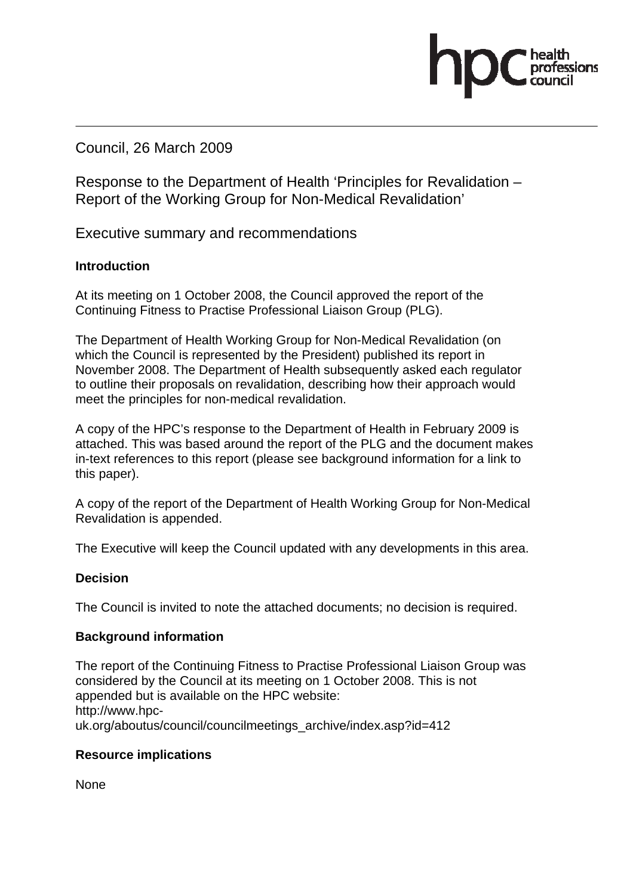Council, 26 March 2009

Response to the Department of Health 'Principles for Revalidation – Report of the Working Group for Non-Medical Revalidation'

Executive summary and recommendations

### **Introduction**

At its meeting on 1 October 2008, the Council approved the report of the Continuing Fitness to Practise Professional Liaison Group (PLG).

The Department of Health Working Group for Non-Medical Revalidation (on which the Council is represented by the President) published its report in November 2008. The Department of Health subsequently asked each regulator to outline their proposals on revalidation, describing how their approach would meet the principles for non-medical revalidation.

A copy of the HPC's response to the Department of Health in February 2009 is attached. This was based around the report of the PLG and the document makes in-text references to this report (please see background information for a link to this paper).

A copy of the report of the Department of Health Working Group for Non-Medical Revalidation is appended.

The Executive will keep the Council updated with any developments in this area.

### **Decision**

The Council is invited to note the attached documents; no decision is required.

### **Background information**

The report of the Continuing Fitness to Practise Professional Liaison Group was considered by the Council at its meeting on 1 October 2008. This is not appended but is available on the HPC website: http://www.hpcuk.org/aboutus/council/councilmeetings\_archive/index.asp?id=412

### **Resource implications**

**None**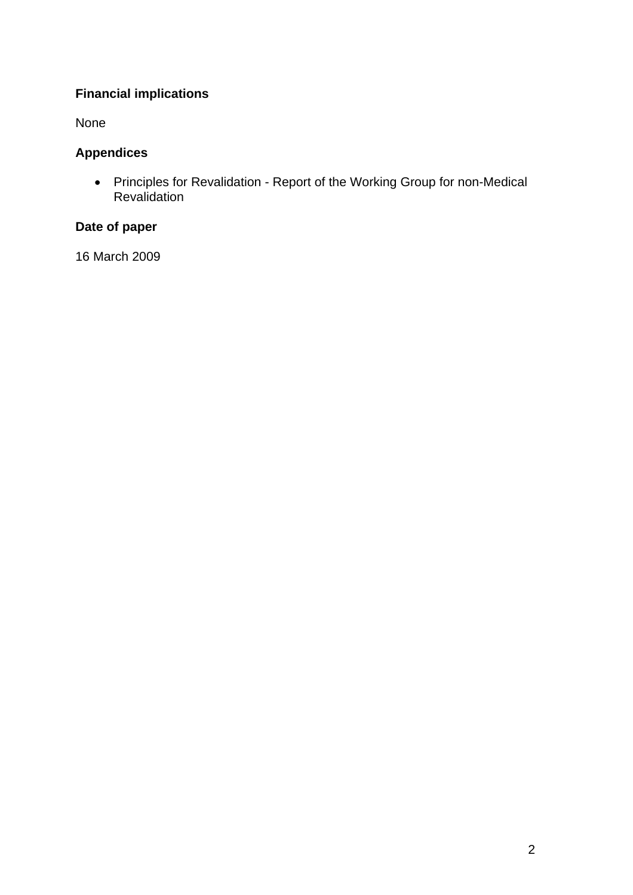## **Financial implications**

None

## **Appendices**

• Principles for Revalidation - Report of the Working Group for non-Medical **Revalidation** 

### **Date of paper**

16 March 2009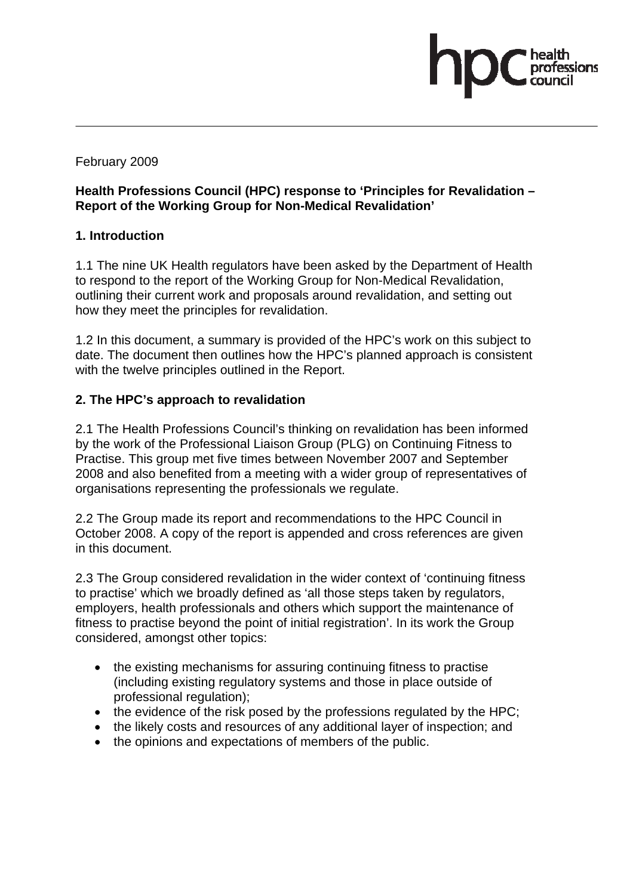February 2009

### **Health Professions Council (HPC) response to 'Principles for Revalidation – Report of the Working Group for Non-Medical Revalidation'**

### **1. Introduction**

1.1 The nine UK Health regulators have been asked by the Department of Health to respond to the report of the Working Group for Non-Medical Revalidation, outlining their current work and proposals around revalidation, and setting out how they meet the principles for revalidation.

1.2 In this document, a summary is provided of the HPC's work on this subject to date. The document then outlines how the HPC's planned approach is consistent with the twelve principles outlined in the Report.

### **2. The HPC's approach to revalidation**

2.1 The Health Professions Council's thinking on revalidation has been informed by the work of the Professional Liaison Group (PLG) on Continuing Fitness to Practise. This group met five times between November 2007 and September 2008 and also benefited from a meeting with a wider group of representatives of organisations representing the professionals we regulate.

2.2 The Group made its report and recommendations to the HPC Council in October 2008. A copy of the report is appended and cross references are given in this document.

2.3 The Group considered revalidation in the wider context of 'continuing fitness to practise' which we broadly defined as 'all those steps taken by regulators, employers, health professionals and others which support the maintenance of fitness to practise beyond the point of initial registration'. In its work the Group considered, amongst other topics:

- the existing mechanisms for assuring continuing fitness to practise (including existing regulatory systems and those in place outside of professional regulation);
- the evidence of the risk posed by the professions regulated by the HPC;
- the likely costs and resources of any additional layer of inspection; and
- the opinions and expectations of members of the public.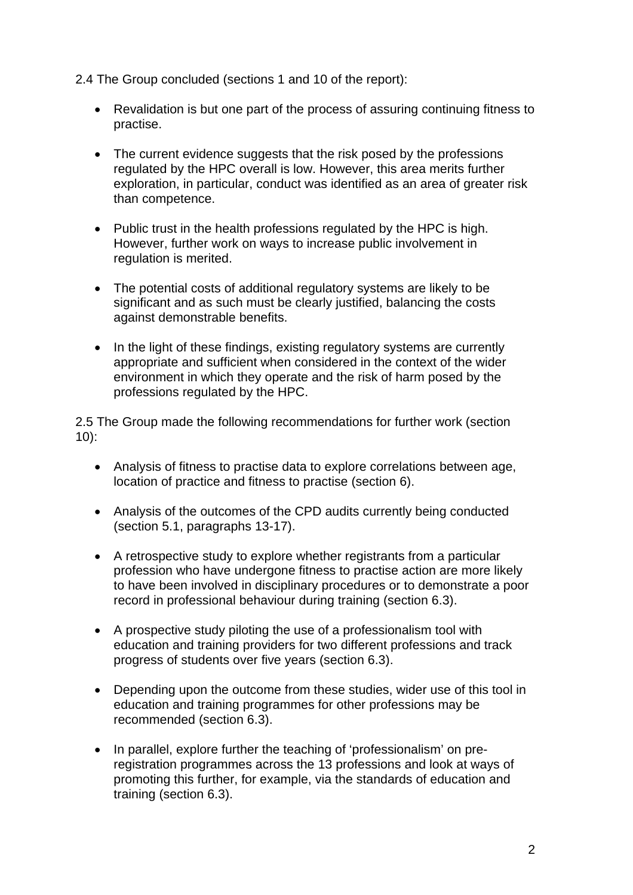2.4 The Group concluded (sections 1 and 10 of the report):

- Revalidation is but one part of the process of assuring continuing fitness to practise.
- The current evidence suggests that the risk posed by the professions regulated by the HPC overall is low. However, this area merits further exploration, in particular, conduct was identified as an area of greater risk than competence.
- Public trust in the health professions regulated by the HPC is high. However, further work on ways to increase public involvement in regulation is merited.
- The potential costs of additional regulatory systems are likely to be significant and as such must be clearly justified, balancing the costs against demonstrable benefits.
- In the light of these findings, existing regulatory systems are currently appropriate and sufficient when considered in the context of the wider environment in which they operate and the risk of harm posed by the professions regulated by the HPC.

2.5 The Group made the following recommendations for further work (section 10):

- Analysis of fitness to practise data to explore correlations between age, location of practice and fitness to practise (section 6).
- Analysis of the outcomes of the CPD audits currently being conducted (section 5.1, paragraphs 13-17).
- A retrospective study to explore whether registrants from a particular profession who have undergone fitness to practise action are more likely to have been involved in disciplinary procedures or to demonstrate a poor record in professional behaviour during training (section 6.3).
- A prospective study piloting the use of a professionalism tool with education and training providers for two different professions and track progress of students over five years (section 6.3).
- Depending upon the outcome from these studies, wider use of this tool in education and training programmes for other professions may be recommended (section 6.3).
- In parallel, explore further the teaching of 'professionalism' on preregistration programmes across the 13 professions and look at ways of promoting this further, for example, via the standards of education and training (section 6.3).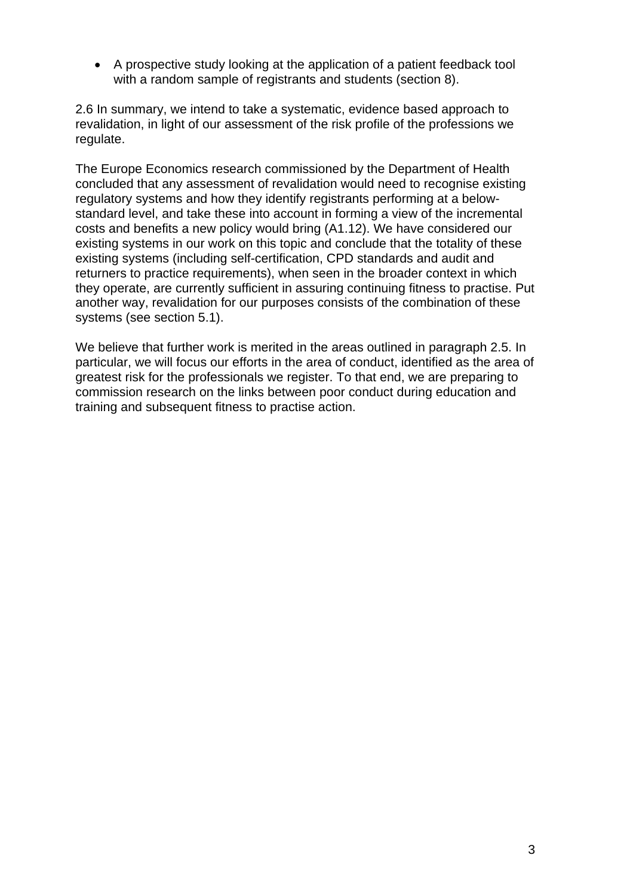• A prospective study looking at the application of a patient feedback tool with a random sample of registrants and students (section 8).

2.6 In summary, we intend to take a systematic, evidence based approach to revalidation, in light of our assessment of the risk profile of the professions we regulate.

The Europe Economics research commissioned by the Department of Health concluded that any assessment of revalidation would need to recognise existing regulatory systems and how they identify registrants performing at a belowstandard level, and take these into account in forming a view of the incremental costs and benefits a new policy would bring (A1.12). We have considered our existing systems in our work on this topic and conclude that the totality of these existing systems (including self-certification, CPD standards and audit and returners to practice requirements), when seen in the broader context in which they operate, are currently sufficient in assuring continuing fitness to practise. Put another way, revalidation for our purposes consists of the combination of these systems (see section 5.1).

We believe that further work is merited in the areas outlined in paragraph 2.5. In particular, we will focus our efforts in the area of conduct, identified as the area of greatest risk for the professionals we register. To that end, we are preparing to commission research on the links between poor conduct during education and training and subsequent fitness to practise action.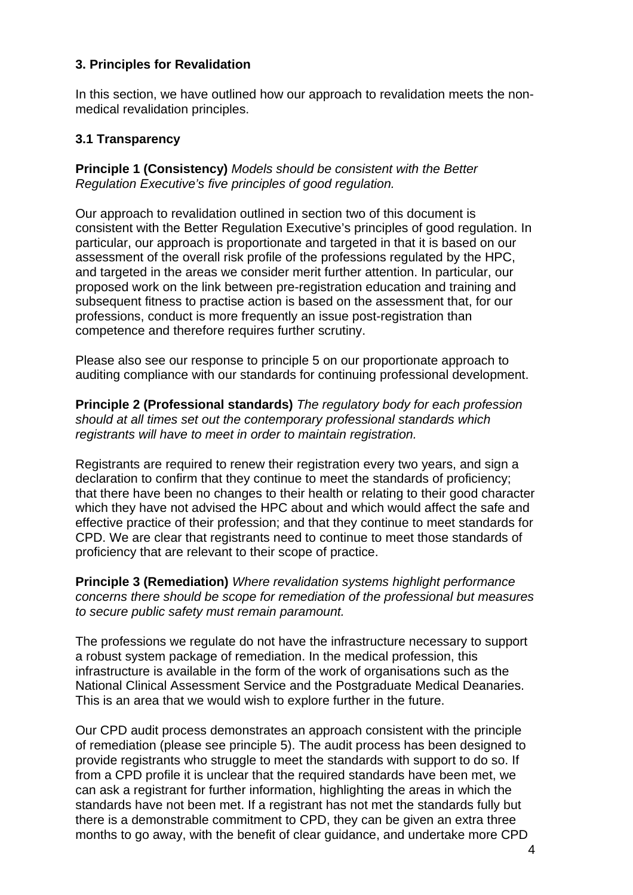### **3. Principles for Revalidation**

In this section, we have outlined how our approach to revalidation meets the nonmedical revalidation principles.

### **3.1 Transparency**

**Principle 1 (Consistency)** *Models should be consistent with the Better Regulation Executive's five principles of good regulation.* 

Our approach to revalidation outlined in section two of this document is consistent with the Better Regulation Executive's principles of good regulation. In particular, our approach is proportionate and targeted in that it is based on our assessment of the overall risk profile of the professions regulated by the HPC, and targeted in the areas we consider merit further attention. In particular, our proposed work on the link between pre-registration education and training and subsequent fitness to practise action is based on the assessment that, for our professions, conduct is more frequently an issue post-registration than competence and therefore requires further scrutiny.

Please also see our response to principle 5 on our proportionate approach to auditing compliance with our standards for continuing professional development.

**Principle 2 (Professional standards)** *The regulatory body for each profession should at all times set out the contemporary professional standards which registrants will have to meet in order to maintain registration.*

Registrants are required to renew their registration every two years, and sign a declaration to confirm that they continue to meet the standards of proficiency; that there have been no changes to their health or relating to their good character which they have not advised the HPC about and which would affect the safe and effective practice of their profession; and that they continue to meet standards for CPD. We are clear that registrants need to continue to meet those standards of proficiency that are relevant to their scope of practice.

**Principle 3 (Remediation)** *Where revalidation systems highlight performance concerns there should be scope for remediation of the professional but measures to secure public safety must remain paramount.* 

The professions we regulate do not have the infrastructure necessary to support a robust system package of remediation. In the medical profession, this infrastructure is available in the form of the work of organisations such as the National Clinical Assessment Service and the Postgraduate Medical Deanaries. This is an area that we would wish to explore further in the future.

Our CPD audit process demonstrates an approach consistent with the principle of remediation (please see principle 5). The audit process has been designed to provide registrants who struggle to meet the standards with support to do so. If from a CPD profile it is unclear that the required standards have been met, we can ask a registrant for further information, highlighting the areas in which the standards have not been met. If a registrant has not met the standards fully but there is a demonstrable commitment to CPD, they can be given an extra three months to go away, with the benefit of clear guidance, and undertake more CPD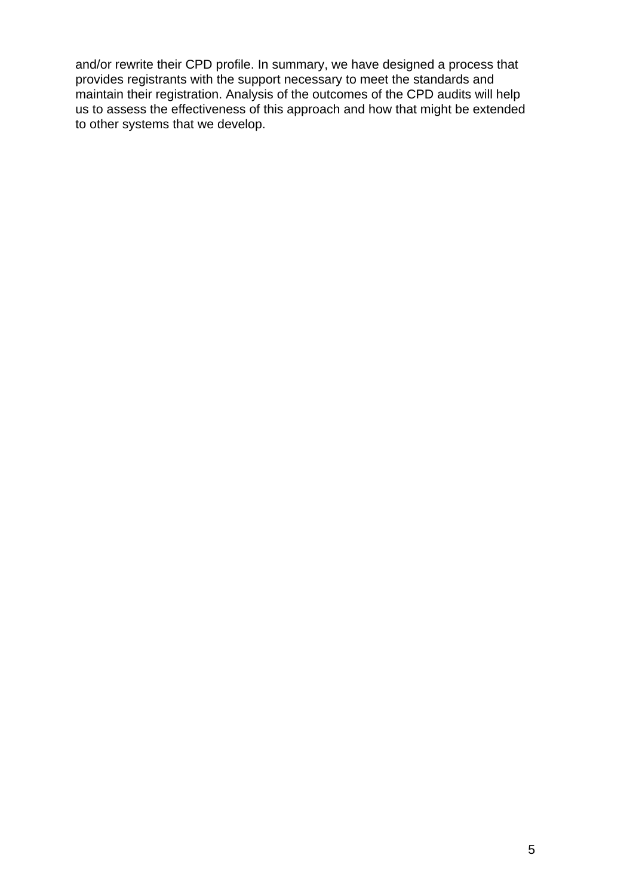and/or rewrite their CPD profile. In summary, we have designed a process that provides registrants with the support necessary to meet the standards and maintain their registration. Analysis of the outcomes of the CPD audits will help us to assess the effectiveness of this approach and how that might be extended to other systems that we develop.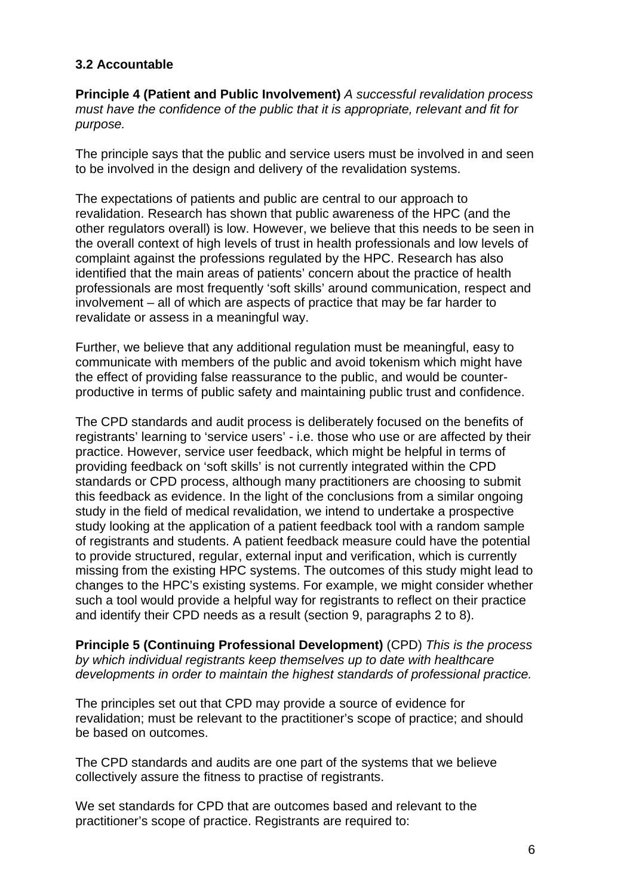### **3.2 Accountable**

**Principle 4 (Patient and Public Involvement)** *A successful revalidation process must have the confidence of the public that it is appropriate, relevant and fit for purpose.* 

The principle says that the public and service users must be involved in and seen to be involved in the design and delivery of the revalidation systems.

The expectations of patients and public are central to our approach to revalidation. Research has shown that public awareness of the HPC (and the other regulators overall) is low. However, we believe that this needs to be seen in the overall context of high levels of trust in health professionals and low levels of complaint against the professions regulated by the HPC. Research has also identified that the main areas of patients' concern about the practice of health professionals are most frequently 'soft skills' around communication, respect and involvement – all of which are aspects of practice that may be far harder to revalidate or assess in a meaningful way.

Further, we believe that any additional regulation must be meaningful, easy to communicate with members of the public and avoid tokenism which might have the effect of providing false reassurance to the public, and would be counterproductive in terms of public safety and maintaining public trust and confidence.

The CPD standards and audit process is deliberately focused on the benefits of registrants' learning to 'service users' - i.e. those who use or are affected by their practice. However, service user feedback, which might be helpful in terms of providing feedback on 'soft skills' is not currently integrated within the CPD standards or CPD process, although many practitioners are choosing to submit this feedback as evidence. In the light of the conclusions from a similar ongoing study in the field of medical revalidation, we intend to undertake a prospective study looking at the application of a patient feedback tool with a random sample of registrants and students. A patient feedback measure could have the potential to provide structured, regular, external input and verification, which is currently missing from the existing HPC systems. The outcomes of this study might lead to changes to the HPC's existing systems. For example, we might consider whether such a tool would provide a helpful way for registrants to reflect on their practice and identify their CPD needs as a result (section 9, paragraphs 2 to 8).

**Principle 5 (Continuing Professional Development)** (CPD) *This is the process by which individual registrants keep themselves up to date with healthcare developments in order to maintain the highest standards of professional practice.* 

The principles set out that CPD may provide a source of evidence for revalidation; must be relevant to the practitioner's scope of practice; and should be based on outcomes.

The CPD standards and audits are one part of the systems that we believe collectively assure the fitness to practise of registrants.

We set standards for CPD that are outcomes based and relevant to the practitioner's scope of practice. Registrants are required to: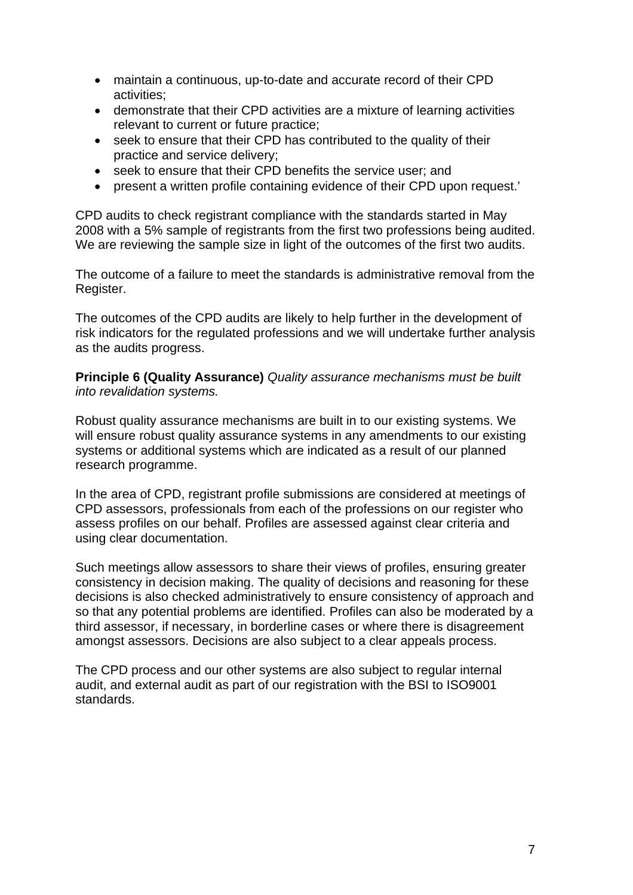- maintain a continuous, up-to-date and accurate record of their CPD activities;
- demonstrate that their CPD activities are a mixture of learning activities relevant to current or future practice;
- seek to ensure that their CPD has contributed to the quality of their practice and service delivery;
- seek to ensure that their CPD benefits the service user; and
- present a written profile containing evidence of their CPD upon request.'

CPD audits to check registrant compliance with the standards started in May 2008 with a 5% sample of registrants from the first two professions being audited. We are reviewing the sample size in light of the outcomes of the first two audits.

The outcome of a failure to meet the standards is administrative removal from the Register.

The outcomes of the CPD audits are likely to help further in the development of risk indicators for the regulated professions and we will undertake further analysis as the audits progress.

**Principle 6 (Quality Assurance)** *Quality assurance mechanisms must be built into revalidation systems.* 

Robust quality assurance mechanisms are built in to our existing systems. We will ensure robust quality assurance systems in any amendments to our existing systems or additional systems which are indicated as a result of our planned research programme.

In the area of CPD, registrant profile submissions are considered at meetings of CPD assessors, professionals from each of the professions on our register who assess profiles on our behalf. Profiles are assessed against clear criteria and using clear documentation.

Such meetings allow assessors to share their views of profiles, ensuring greater consistency in decision making. The quality of decisions and reasoning for these decisions is also checked administratively to ensure consistency of approach and so that any potential problems are identified. Profiles can also be moderated by a third assessor, if necessary, in borderline cases or where there is disagreement amongst assessors. Decisions are also subject to a clear appeals process.

The CPD process and our other systems are also subject to regular internal audit, and external audit as part of our registration with the BSI to ISO9001 standards.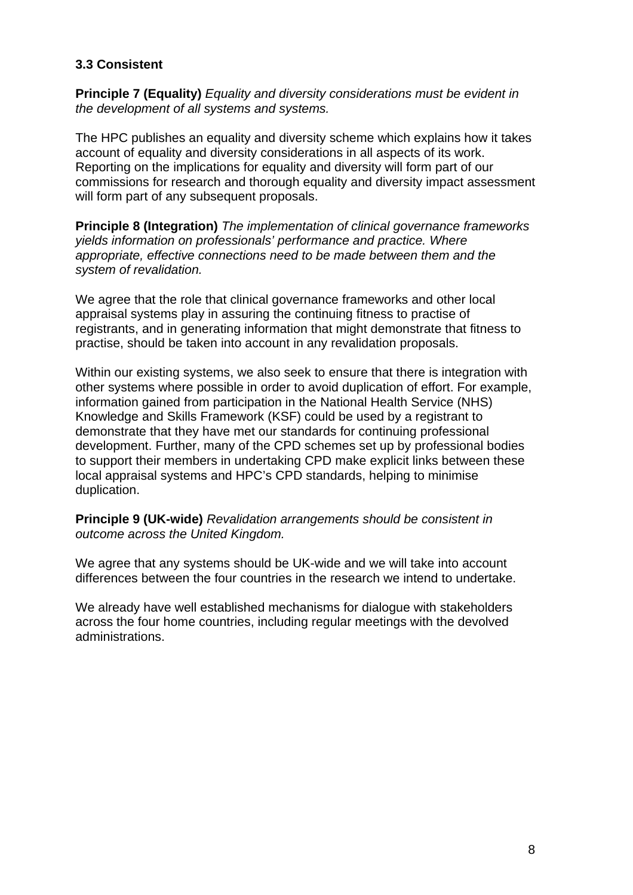### **3.3 Consistent**

**Principle 7 (Equality)** *Equality and diversity considerations must be evident in the development of all systems and systems.* 

The HPC publishes an equality and diversity scheme which explains how it takes account of equality and diversity considerations in all aspects of its work. Reporting on the implications for equality and diversity will form part of our commissions for research and thorough equality and diversity impact assessment will form part of any subsequent proposals.

**Principle 8 (Integration)** *The implementation of clinical governance frameworks yields information on professionals' performance and practice. Where appropriate, effective connections need to be made between them and the system of revalidation.*

We agree that the role that clinical governance frameworks and other local appraisal systems play in assuring the continuing fitness to practise of registrants, and in generating information that might demonstrate that fitness to practise, should be taken into account in any revalidation proposals.

Within our existing systems, we also seek to ensure that there is integration with other systems where possible in order to avoid duplication of effort. For example, information gained from participation in the National Health Service (NHS) Knowledge and Skills Framework (KSF) could be used by a registrant to demonstrate that they have met our standards for continuing professional development. Further, many of the CPD schemes set up by professional bodies to support their members in undertaking CPD make explicit links between these local appraisal systems and HPC's CPD standards, helping to minimise duplication.

**Principle 9 (UK-wide)** *Revalidation arrangements should be consistent in outcome across the United Kingdom.* 

We agree that any systems should be UK-wide and we will take into account differences between the four countries in the research we intend to undertake.

We already have well established mechanisms for dialogue with stakeholders across the four home countries, including regular meetings with the devolved administrations.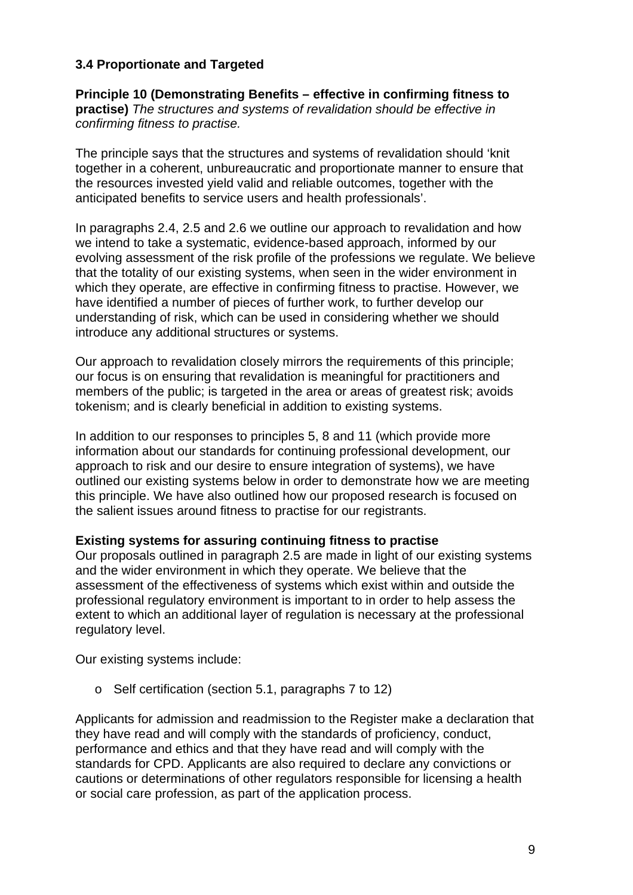### **3.4 Proportionate and Targeted**

**Principle 10 (Demonstrating Benefits – effective in confirming fitness to practise)** *The structures and systems of revalidation should be effective in confirming fitness to practise.* 

The principle says that the structures and systems of revalidation should 'knit together in a coherent, unbureaucratic and proportionate manner to ensure that the resources invested yield valid and reliable outcomes, together with the anticipated benefits to service users and health professionals'.

In paragraphs 2.4, 2.5 and 2.6 we outline our approach to revalidation and how we intend to take a systematic, evidence-based approach, informed by our evolving assessment of the risk profile of the professions we regulate. We believe that the totality of our existing systems, when seen in the wider environment in which they operate, are effective in confirming fitness to practise. However, we have identified a number of pieces of further work, to further develop our understanding of risk, which can be used in considering whether we should introduce any additional structures or systems.

Our approach to revalidation closely mirrors the requirements of this principle; our focus is on ensuring that revalidation is meaningful for practitioners and members of the public; is targeted in the area or areas of greatest risk; avoids tokenism; and is clearly beneficial in addition to existing systems.

In addition to our responses to principles 5, 8 and 11 (which provide more information about our standards for continuing professional development, our approach to risk and our desire to ensure integration of systems), we have outlined our existing systems below in order to demonstrate how we are meeting this principle. We have also outlined how our proposed research is focused on the salient issues around fitness to practise for our registrants.

### **Existing systems for assuring continuing fitness to practise**

Our proposals outlined in paragraph 2.5 are made in light of our existing systems and the wider environment in which they operate. We believe that the assessment of the effectiveness of systems which exist within and outside the professional regulatory environment is important to in order to help assess the extent to which an additional layer of regulation is necessary at the professional regulatory level.

Our existing systems include:

o Self certification (section 5.1, paragraphs 7 to 12)

Applicants for admission and readmission to the Register make a declaration that they have read and will comply with the standards of proficiency, conduct, performance and ethics and that they have read and will comply with the standards for CPD. Applicants are also required to declare any convictions or cautions or determinations of other regulators responsible for licensing a health or social care profession, as part of the application process.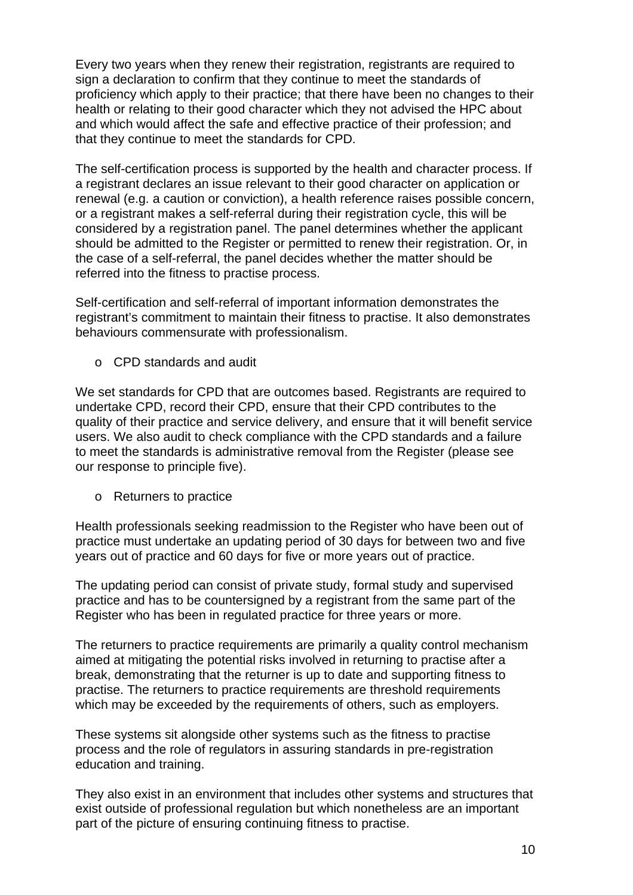Every two years when they renew their registration, registrants are required to sign a declaration to confirm that they continue to meet the standards of proficiency which apply to their practice; that there have been no changes to their health or relating to their good character which they not advised the HPC about and which would affect the safe and effective practice of their profession; and that they continue to meet the standards for CPD.

The self-certification process is supported by the health and character process. If a registrant declares an issue relevant to their good character on application or renewal (e.g. a caution or conviction), a health reference raises possible concern, or a registrant makes a self-referral during their registration cycle, this will be considered by a registration panel. The panel determines whether the applicant should be admitted to the Register or permitted to renew their registration. Or, in the case of a self-referral, the panel decides whether the matter should be referred into the fitness to practise process.

Self-certification and self-referral of important information demonstrates the registrant's commitment to maintain their fitness to practise. It also demonstrates behaviours commensurate with professionalism.

o CPD standards and audit

We set standards for CPD that are outcomes based. Registrants are required to undertake CPD, record their CPD, ensure that their CPD contributes to the quality of their practice and service delivery, and ensure that it will benefit service users. We also audit to check compliance with the CPD standards and a failure to meet the standards is administrative removal from the Register (please see our response to principle five).

o Returners to practice

Health professionals seeking readmission to the Register who have been out of practice must undertake an updating period of 30 days for between two and five years out of practice and 60 days for five or more years out of practice.

The updating period can consist of private study, formal study and supervised practice and has to be countersigned by a registrant from the same part of the Register who has been in regulated practice for three years or more.

The returners to practice requirements are primarily a quality control mechanism aimed at mitigating the potential risks involved in returning to practise after a break, demonstrating that the returner is up to date and supporting fitness to practise. The returners to practice requirements are threshold requirements which may be exceeded by the requirements of others, such as employers.

These systems sit alongside other systems such as the fitness to practise process and the role of regulators in assuring standards in pre-registration education and training.

They also exist in an environment that includes other systems and structures that exist outside of professional regulation but which nonetheless are an important part of the picture of ensuring continuing fitness to practise.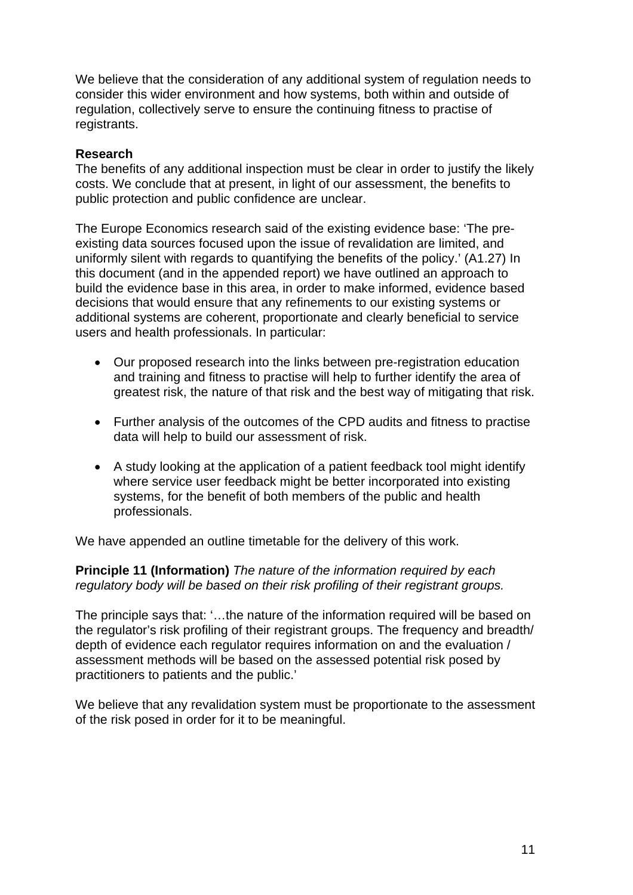We believe that the consideration of any additional system of regulation needs to consider this wider environment and how systems, both within and outside of regulation, collectively serve to ensure the continuing fitness to practise of registrants.

### **Research**

The benefits of any additional inspection must be clear in order to justify the likely costs. We conclude that at present, in light of our assessment, the benefits to public protection and public confidence are unclear.

The Europe Economics research said of the existing evidence base: 'The preexisting data sources focused upon the issue of revalidation are limited, and uniformly silent with regards to quantifying the benefits of the policy.' (A1.27) In this document (and in the appended report) we have outlined an approach to build the evidence base in this area, in order to make informed, evidence based decisions that would ensure that any refinements to our existing systems or additional systems are coherent, proportionate and clearly beneficial to service users and health professionals. In particular:

- Our proposed research into the links between pre-registration education and training and fitness to practise will help to further identify the area of greatest risk, the nature of that risk and the best way of mitigating that risk.
- Further analysis of the outcomes of the CPD audits and fitness to practise data will help to build our assessment of risk.
- A study looking at the application of a patient feedback tool might identify where service user feedback might be better incorporated into existing systems, for the benefit of both members of the public and health professionals.

We have appended an outline timetable for the delivery of this work.

**Principle 11 (Information)** *The nature of the information required by each regulatory body will be based on their risk profiling of their registrant groups.* 

The principle says that: '…the nature of the information required will be based on the regulator's risk profiling of their registrant groups. The frequency and breadth/ depth of evidence each regulator requires information on and the evaluation / assessment methods will be based on the assessed potential risk posed by practitioners to patients and the public.'

We believe that any revalidation system must be proportionate to the assessment of the risk posed in order for it to be meaningful.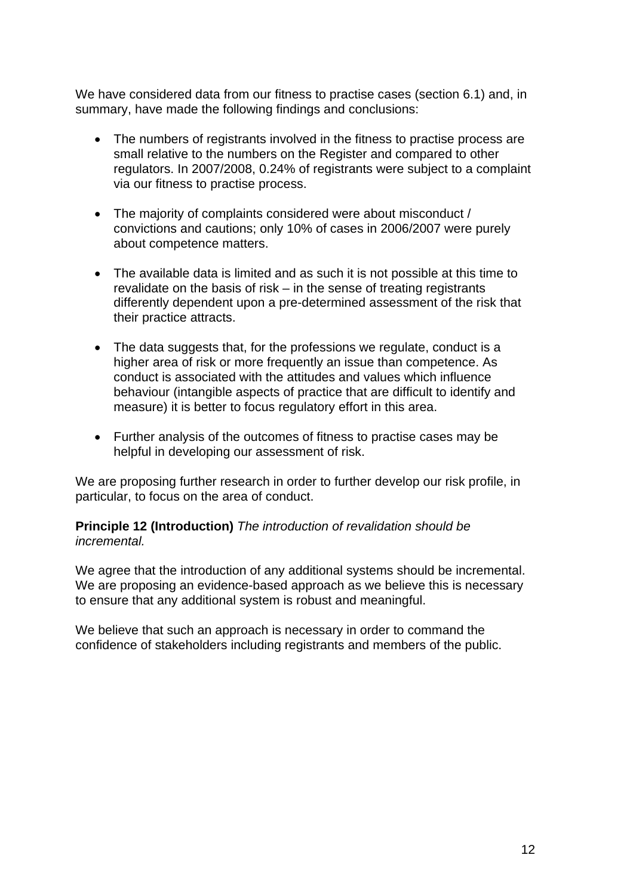We have considered data from our fitness to practise cases (section 6.1) and, in summary, have made the following findings and conclusions:

- The numbers of registrants involved in the fitness to practise process are small relative to the numbers on the Register and compared to other regulators. In 2007/2008, 0.24% of registrants were subject to a complaint via our fitness to practise process.
- The majority of complaints considered were about misconduct / convictions and cautions; only 10% of cases in 2006/2007 were purely about competence matters.
- The available data is limited and as such it is not possible at this time to revalidate on the basis of risk – in the sense of treating registrants differently dependent upon a pre-determined assessment of the risk that their practice attracts.
- The data suggests that, for the professions we regulate, conduct is a higher area of risk or more frequently an issue than competence. As conduct is associated with the attitudes and values which influence behaviour (intangible aspects of practice that are difficult to identify and measure) it is better to focus regulatory effort in this area.
- Further analysis of the outcomes of fitness to practise cases may be helpful in developing our assessment of risk.

We are proposing further research in order to further develop our risk profile, in particular, to focus on the area of conduct.

### **Principle 12 (Introduction)** *The introduction of revalidation should be incremental.*

We agree that the introduction of any additional systems should be incremental. We are proposing an evidence-based approach as we believe this is necessary to ensure that any additional system is robust and meaningful.

We believe that such an approach is necessary in order to command the confidence of stakeholders including registrants and members of the public.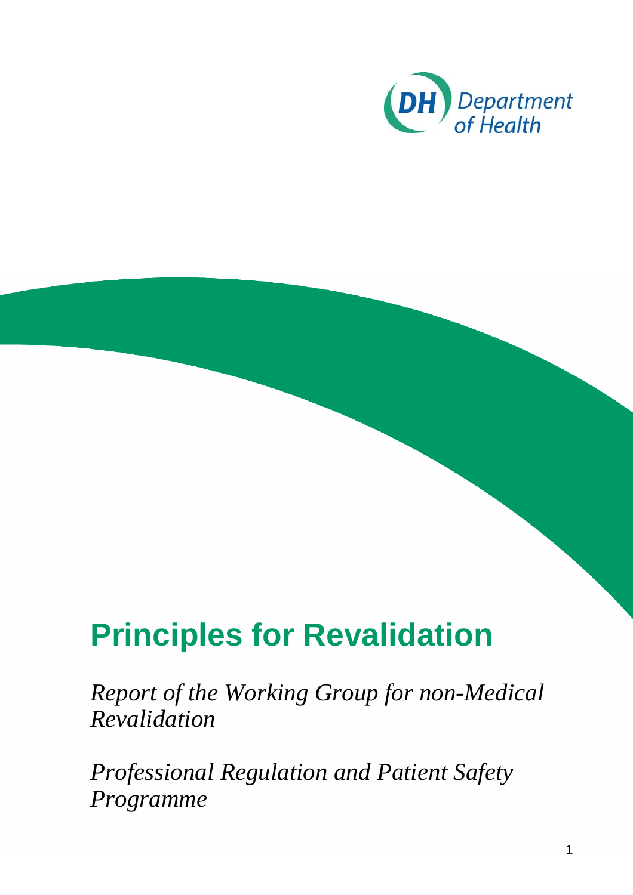

# **Principles for Revalidation**

*Report of the Working Group for non-Medical Revalidation* 

*Professional Regulation and Patient Safety Programme*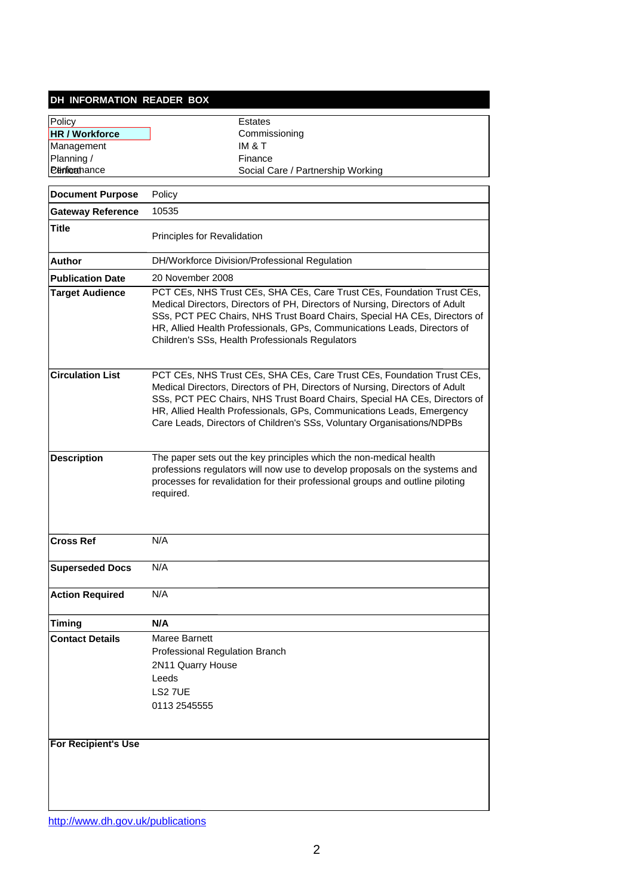#### **DH INFORMATION READER BOX**

Policy **Estates HR / Workforce Array Commissioning** Management IM & T Planning / Finance<br>
Planning / Finance<br> **Ethrican**ance Social C

Social Care / Partnership Working

| <b>Document Purpose</b>    | Policy                                                                                                                                                                                                                                                                                                                                                                                 |  |  |
|----------------------------|----------------------------------------------------------------------------------------------------------------------------------------------------------------------------------------------------------------------------------------------------------------------------------------------------------------------------------------------------------------------------------------|--|--|
| <b>Gateway Reference</b>   | 10535                                                                                                                                                                                                                                                                                                                                                                                  |  |  |
| <b>Title</b>               | Principles for Revalidation                                                                                                                                                                                                                                                                                                                                                            |  |  |
| Author                     | DH/Workforce Division/Professional Regulation                                                                                                                                                                                                                                                                                                                                          |  |  |
| <b>Publication Date</b>    | 20 November 2008                                                                                                                                                                                                                                                                                                                                                                       |  |  |
| <b>Target Audience</b>     | PCT CEs, NHS Trust CEs, SHA CEs, Care Trust CEs, Foundation Trust CEs,<br>Medical Directors, Directors of PH, Directors of Nursing, Directors of Adult<br>SSs, PCT PEC Chairs, NHS Trust Board Chairs, Special HA CEs, Directors of<br>HR, Allied Health Professionals, GPs, Communications Leads, Directors of<br>Children's SSs, Health Professionals Regulators                     |  |  |
| <b>Circulation List</b>    | PCT CEs, NHS Trust CEs, SHA CEs, Care Trust CEs, Foundation Trust CEs,<br>Medical Directors, Directors of PH, Directors of Nursing, Directors of Adult<br>SSs, PCT PEC Chairs, NHS Trust Board Chairs, Special HA CEs, Directors of<br>HR, Allied Health Professionals, GPs, Communications Leads, Emergency<br>Care Leads, Directors of Children's SSs, Voluntary Organisations/NDPBs |  |  |
| <b>Description</b>         | The paper sets out the key principles which the non-medical health<br>professions regulators will now use to develop proposals on the systems and<br>processes for revalidation for their professional groups and outline piloting<br>required.                                                                                                                                        |  |  |
| <b>Cross Ref</b>           | N/A                                                                                                                                                                                                                                                                                                                                                                                    |  |  |
| <b>Superseded Docs</b>     | N/A                                                                                                                                                                                                                                                                                                                                                                                    |  |  |
| <b>Action Required</b>     | N/A                                                                                                                                                                                                                                                                                                                                                                                    |  |  |
| Timing                     | N/A                                                                                                                                                                                                                                                                                                                                                                                    |  |  |
| <b>Contact Details</b>     | Maree Barnett<br>Professional Regulation Branch<br>2N11 Quarry House<br>Leeds<br>LS2 7UE<br>0113 2545555                                                                                                                                                                                                                                                                               |  |  |
| <b>For Recipient's Use</b> |                                                                                                                                                                                                                                                                                                                                                                                        |  |  |

http://www.dh.gov.uk/publications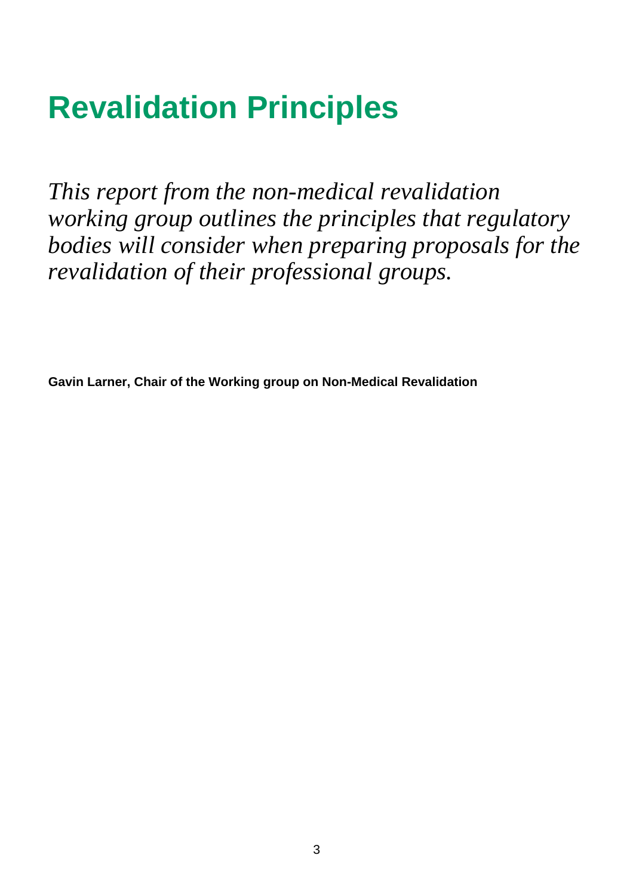# **Revalidation Principles**

*This report from the non-medical revalidation working group outlines the principles that regulatory bodies will consider when preparing proposals for the revalidation of their professional groups.* 

**Gavin Larner, Chair of the Working group on Non-Medical Revalidation**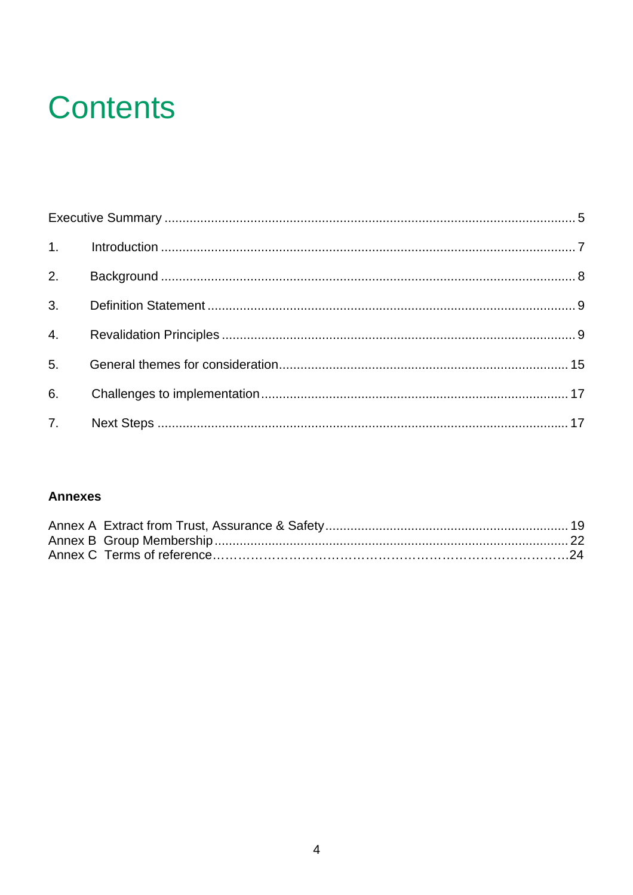# **Contents**

| 2. |  |
|----|--|
|    |  |
|    |  |
|    |  |
|    |  |
|    |  |

### **Annexes**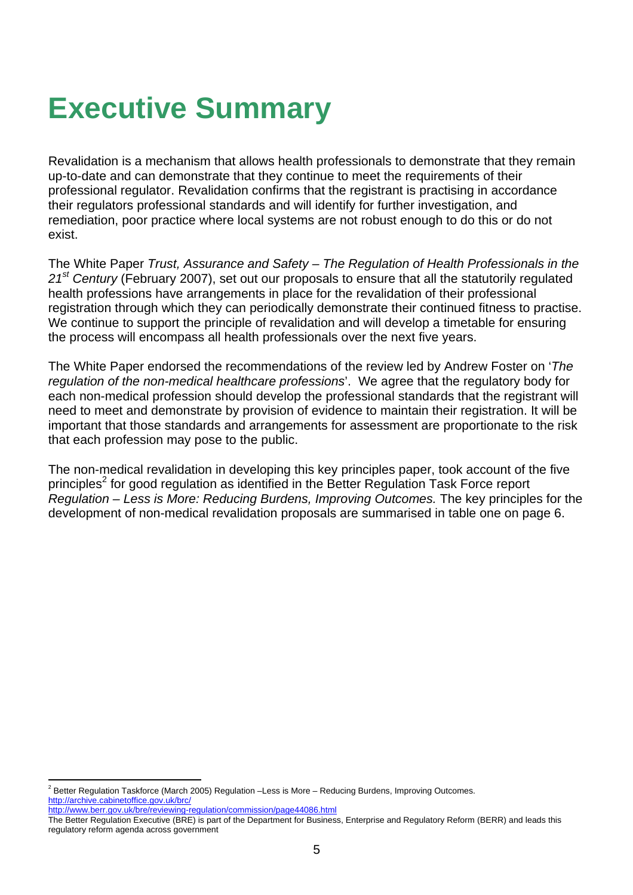## **Executive Summary**

Revalidation is a mechanism that allows health professionals to demonstrate that they remain up-to-date and can demonstrate that they continue to meet the requirements of their professional regulator. Revalidation confirms that the registrant is practising in accordance their regulators professional standards and will identify for further investigation, and remediation, poor practice where local systems are not robust enough to do this or do not exist.

The White Paper *Trust, Assurance and Safety – The Regulation of Health Professionals in the 21st Century* (February 2007), set out our proposals to ensure that all the statutorily regulated health professions have arrangements in place for the revalidation of their professional registration through which they can periodically demonstrate their continued fitness to practise. We continue to support the principle of revalidation and will develop a timetable for ensuring the process will encompass all health professionals over the next five years.

The White Paper endorsed the recommendations of the review led by Andrew Foster on '*The regulation of the non-medical healthcare professions*'. We agree that the regulatory body for each non-medical profession should develop the professional standards that the registrant will need to meet and demonstrate by provision of evidence to maintain their registration. It will be important that those standards and arrangements for assessment are proportionate to the risk that each profession may pose to the public.

The non-medical revalidation in developing this key principles paper, took account of the five principles<sup>2</sup> for good regulation as identified in the Better Regulation Task Force report *Regulation – Less is More: Reducing Burdens, Improving Outcomes.* The key principles for the development of non-medical revalidation proposals are summarised in table one on page 6.

 $\frac{1}{2}$  Better Regulation Taskforce (March 2005) Regulation –Less is More – Reducing Burdens, Improving Outcomes. http://archive.cabinetoffice.gov.uk/brc/

http://www.berr.gov.uk/bre/reviewing-regulation/commission/page44086.html

The Better Regulation Executive (BRE) is part of the Department for Business, Enterprise and Regulatory Reform (BERR) and leads this regulatory reform agenda across government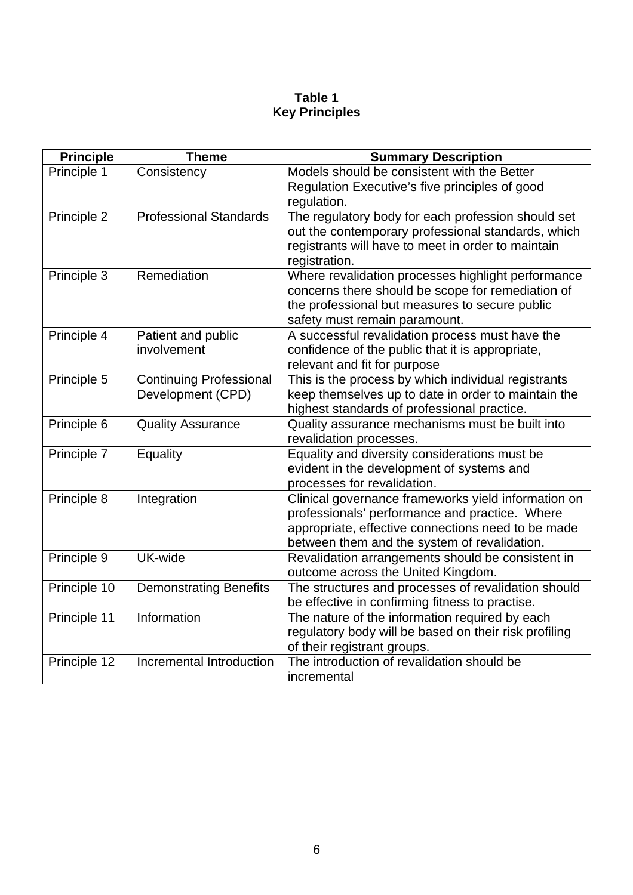## **Table 1 Key Principles**

| <b>Principle</b> | <b>Theme</b>                   | <b>Summary Description</b>                                                                 |
|------------------|--------------------------------|--------------------------------------------------------------------------------------------|
| Principle 1      | Consistency                    | Models should be consistent with the Better                                                |
|                  |                                | Regulation Executive's five principles of good                                             |
|                  |                                | regulation.                                                                                |
| Principle 2      | <b>Professional Standards</b>  | The regulatory body for each profession should set                                         |
|                  |                                | out the contemporary professional standards, which                                         |
|                  |                                | registrants will have to meet in order to maintain<br>registration.                        |
| Principle 3      | Remediation                    | Where revalidation processes highlight performance                                         |
|                  |                                | concerns there should be scope for remediation of                                          |
|                  |                                | the professional but measures to secure public                                             |
|                  |                                | safety must remain paramount.                                                              |
| Principle 4      | Patient and public             | A successful revalidation process must have the                                            |
|                  | involvement                    | confidence of the public that it is appropriate,                                           |
|                  |                                | relevant and fit for purpose                                                               |
| Principle 5      | <b>Continuing Professional</b> | This is the process by which individual registrants                                        |
|                  | Development (CPD)              | keep themselves up to date in order to maintain the                                        |
|                  |                                | highest standards of professional practice.                                                |
| Principle 6      | <b>Quality Assurance</b>       | Quality assurance mechanisms must be built into                                            |
|                  |                                | revalidation processes.                                                                    |
| Principle 7      | Equality                       | Equality and diversity considerations must be<br>evident in the development of systems and |
|                  |                                | processes for revalidation.                                                                |
| Principle 8      | Integration                    | Clinical governance frameworks yield information on                                        |
|                  |                                | professionals' performance and practice. Where                                             |
|                  |                                | appropriate, effective connections need to be made                                         |
|                  |                                | between them and the system of revalidation.                                               |
| Principle 9      | UK-wide                        | Revalidation arrangements should be consistent in                                          |
|                  |                                | outcome across the United Kingdom.                                                         |
| Principle 10     | <b>Demonstrating Benefits</b>  | The structures and processes of revalidation should                                        |
|                  |                                | be effective in confirming fitness to practise.                                            |
| Principle 11     | Information                    | The nature of the information required by each                                             |
|                  |                                | regulatory body will be based on their risk profiling                                      |
|                  |                                | of their registrant groups.                                                                |
| Principle 12     | Incremental Introduction       | The introduction of revalidation should be                                                 |
|                  |                                | incremental                                                                                |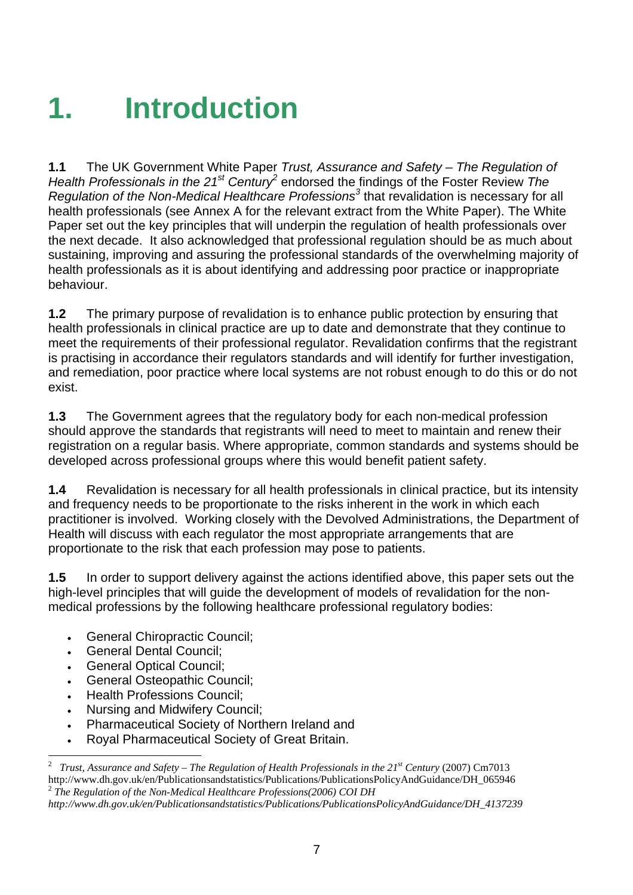# **1. Introduction**

**1.1** The UK Government White Paper *Trust, Assurance and Safety – The Regulation of*  Health Professionals in the 21<sup>st</sup> Century<sup>2</sup> endorsed the findings of the Foster Review The Regulation of the Non-Medical Healthcare Professions<sup>3</sup> that revalidation is necessary for all health professionals (see Annex A for the relevant extract from the White Paper). The White Paper set out the key principles that will underpin the regulation of health professionals over the next decade. It also acknowledged that professional regulation should be as much about sustaining, improving and assuring the professional standards of the overwhelming majority of health professionals as it is about identifying and addressing poor practice or inappropriate behaviour.

**1.2** The primary purpose of revalidation is to enhance public protection by ensuring that health professionals in clinical practice are up to date and demonstrate that they continue to meet the requirements of their professional regulator. Revalidation confirms that the registrant is practising in accordance their regulators standards and will identify for further investigation, and remediation, poor practice where local systems are not robust enough to do this or do not exist.

**1.3** The Government agrees that the regulatory body for each non-medical profession should approve the standards that registrants will need to meet to maintain and renew their registration on a regular basis. Where appropriate, common standards and systems should be developed across professional groups where this would benefit patient safety.

**1.4** Revalidation is necessary for all health professionals in clinical practice, but its intensity and frequency needs to be proportionate to the risks inherent in the work in which each practitioner is involved. Working closely with the Devolved Administrations, the Department of Health will discuss with each regulator the most appropriate arrangements that are proportionate to the risk that each profession may pose to patients.

**1.5** In order to support delivery against the actions identified above, this paper sets out the high-level principles that will guide the development of models of revalidation for the nonmedical professions by the following healthcare professional regulatory bodies:

- General Chiropractic Council;
- General Dental Council;
- General Optical Council;
- General Osteopathic Council:
- Health Professions Council;
- Nursing and Midwifery Council;
- Pharmaceutical Society of Northern Ireland and
- Royal Pharmaceutical Society of Great Britain.

 $\frac{1}{2}$  *Trust, Assurance and Safety – The Regulation of Health Professionals in the 21st Century* (2007) Cm7013 http://www.dh.gov.uk/en/Publicationsandstatistics/Publications/PublicationsPolicyAndGuidance/DH\_065946 <sup>2</sup> *The Regulation of the Non-Medical Healthcare Professions(2006) COI DH*

*http://www.dh.gov.uk/en/Publicationsandstatistics/Publications/PublicationsPolicyAndGuidance/DH\_4137239*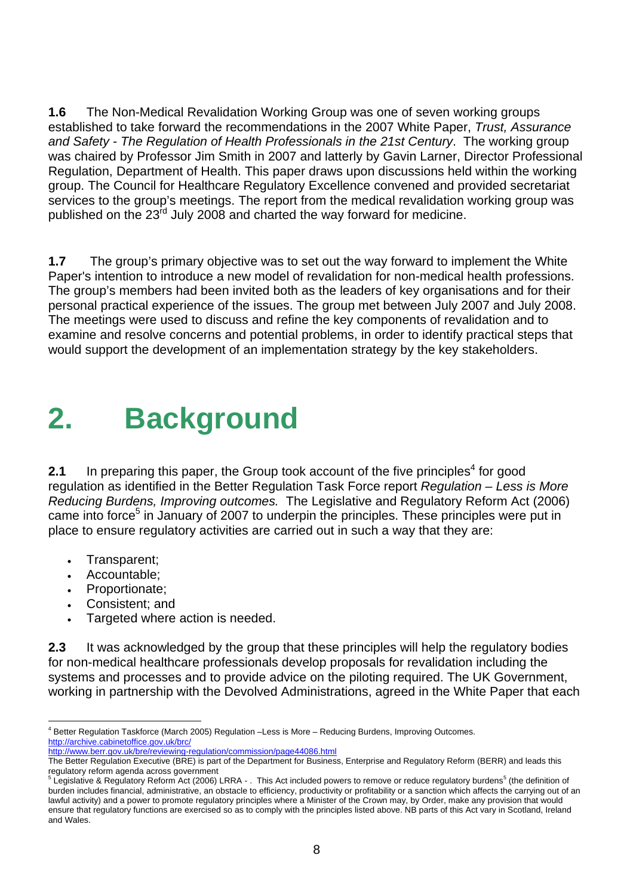**1.6** The Non-Medical Revalidation Working Group was one of seven working groups established to take forward the recommendations in the 2007 White Paper, *Trust, Assurance and Safety - The Regulation of Health Professionals in the 21st Century*. The working group was chaired by Professor Jim Smith in 2007 and latterly by Gavin Larner, Director Professional Regulation, Department of Health. This paper draws upon discussions held within the working group. The Council for Healthcare Regulatory Excellence convened and provided secretariat services to the group's meetings. The report from the medical revalidation working group was published on the  $23<sup>rd</sup>$  July 2008 and charted the way forward for medicine.

**1.7** The group's primary objective was to set out the way forward to implement the White Paper's intention to introduce a new model of revalidation for non-medical health professions. The group's members had been invited both as the leaders of key organisations and for their personal practical experience of the issues. The group met between July 2007 and July 2008. The meetings were used to discuss and refine the key components of revalidation and to examine and resolve concerns and potential problems, in order to identify practical steps that would support the development of an implementation strategy by the key stakeholders.

# **2. Background**

**2.1** In preparing this paper, the Group took account of the five principles<sup>4</sup> for good regulation as identified in the Better Regulation Task Force report *Regulation – Less is More Reducing Burdens, Improving outcomes.* The Legislative and Regulatory Reform Act (2006) came into force<sup>5</sup> in January of 2007 to underpin the principles. These principles were put in place to ensure regulatory activities are carried out in such a way that they are:

- Transparent;
- Accountable;
- Proportionate;
- Consistent; and
- Targeted where action is needed.

**2.3** It was acknowledged by the group that these principles will help the regulatory bodies for non-medical healthcare professionals develop proposals for revalidation including the systems and processes and to provide advice on the piloting required. The UK Government, working in partnership with the Devolved Administrations, agreed in the White Paper that each

http://www.berr.gov.uk/bre/reviewing-regulation/commission/page44086.html

 $\frac{1}{4}$ <sup>4</sup> Better Regulation Taskforce (March 2005) Regulation –Less is More – Reducing Burdens, Improving Outcomes. http://archive.cabinetoffice.gov.uk/brc/

The Better Regulation Executive (BRE) is part of the Department for Business, Enterprise and Regulatory Reform (BERR) and leads this regulatory reform agenda across government<br>
<sup>5</sup> Locial stime **6**  $\Gamma$ 

Legislative & Regulatory Reform Act (2006) LRRA - . This Act included powers to remove or reduce regulatory burdens<sup>5</sup> (the definition of burden includes financial, administrative, an obstacle to efficiency, productivity or profitability or a sanction which affects the carrying out of an lawful activity) and a power to promote regulatory principles where a Minister of the Crown may, by Order, make any provision that would ensure that regulatory functions are exercised so as to comply with the principles listed above. NB parts of this Act vary in Scotland, Ireland and Wales.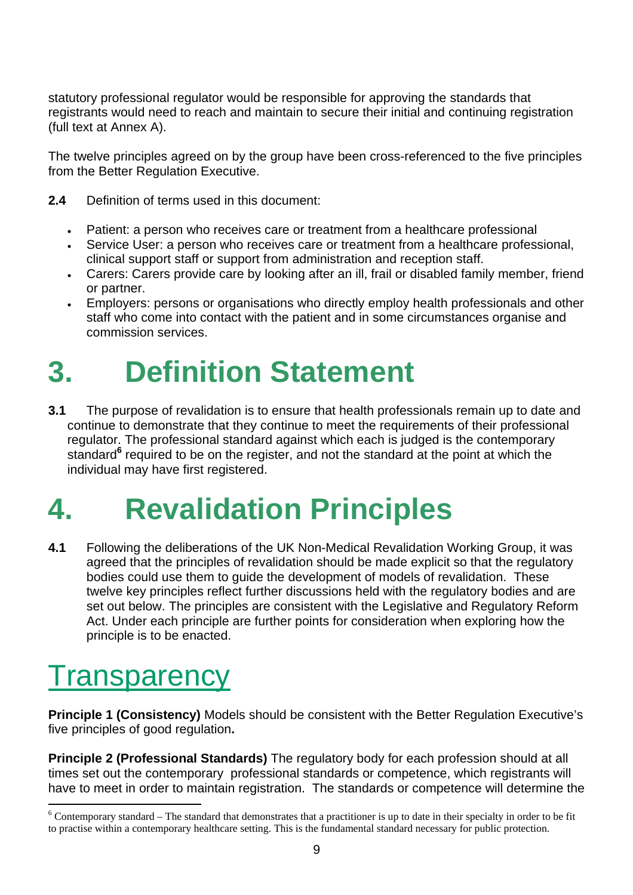statutory professional regulator would be responsible for approving the standards that registrants would need to reach and maintain to secure their initial and continuing registration (full text at Annex A).

The twelve principles agreed on by the group have been cross-referenced to the five principles from the Better Regulation Executive.

- **2.4** Definition of terms used in this document:
	- Patient: a person who receives care or treatment from a healthcare professional
	- Service User: a person who receives care or treatment from a healthcare professional, clinical support staff or support from administration and reception staff.
	- Carers: Carers provide care by looking after an ill, frail or disabled family member, friend or partner.
	- Employers: persons or organisations who directly employ health professionals and other staff who come into contact with the patient and in some circumstances organise and commission services.

# **3. Definition Statement**

**3.1** The purpose of revalidation is to ensure that health professionals remain up to date and continue to demonstrate that they continue to meet the requirements of their professional regulator. The professional standard against which each is judged is the contemporary standard<sup>6</sup> required to be on the register, and not the standard at the point at which the individual may have first registered.

# **4. Revalidation Principles**

**4.1** Following the deliberations of the UK Non-Medical Revalidation Working Group, it was agreed that the principles of revalidation should be made explicit so that the regulatory bodies could use them to guide the development of models of revalidation. These twelve key principles reflect further discussions held with the regulatory bodies and are set out below. The principles are consistent with the Legislative and Regulatory Reform Act. Under each principle are further points for consideration when exploring how the principle is to be enacted.

## **Transparency**

**Principle 1 (Consistency)** Models should be consistent with the Better Regulation Executive's five principles of good regulation**.** 

**Principle 2 (Professional Standards)** The regulatory body for each profession should at all times set out the contemporary professional standards or competence, which registrants will have to meet in order to maintain registration. The standards or competence will determine the

 $\frac{1}{6}$  $6$  Contemporary standard – The standard that demonstrates that a practitioner is up to date in their specialty in order to be fit to practise within a contemporary healthcare setting. This is the fundamental standard necessary for public protection.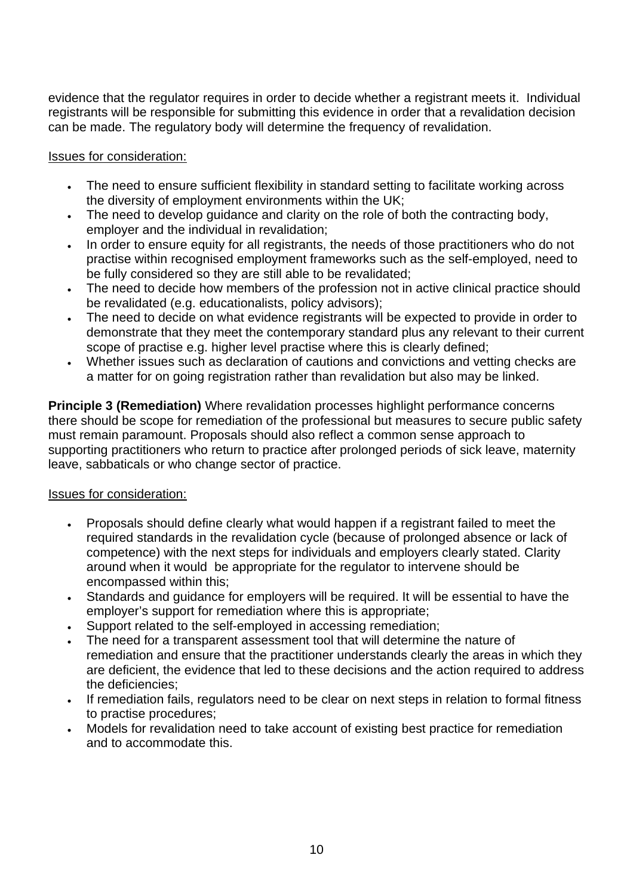evidence that the regulator requires in order to decide whether a registrant meets it. Individual registrants will be responsible for submitting this evidence in order that a revalidation decision can be made. The regulatory body will determine the frequency of revalidation.

### Issues for consideration:

- The need to ensure sufficient flexibility in standard setting to facilitate working across the diversity of employment environments within the UK;
- The need to develop guidance and clarity on the role of both the contracting body, employer and the individual in revalidation;
- In order to ensure equity for all registrants, the needs of those practitioners who do not practise within recognised employment frameworks such as the self-employed, need to be fully considered so they are still able to be revalidated;
- The need to decide how members of the profession not in active clinical practice should be revalidated (e.g. educationalists, policy advisors);
- The need to decide on what evidence registrants will be expected to provide in order to demonstrate that they meet the contemporary standard plus any relevant to their current scope of practise e.g. higher level practise where this is clearly defined;
- Whether issues such as declaration of cautions and convictions and vetting checks are a matter for on going registration rather than revalidation but also may be linked.

**Principle 3 (Remediation)** Where revalidation processes highlight performance concerns there should be scope for remediation of the professional but measures to secure public safety must remain paramount. Proposals should also reflect a common sense approach to supporting practitioners who return to practice after prolonged periods of sick leave, maternity leave, sabbaticals or who change sector of practice.

### Issues for consideration:

- Proposals should define clearly what would happen if a registrant failed to meet the required standards in the revalidation cycle (because of prolonged absence or lack of competence) with the next steps for individuals and employers clearly stated. Clarity around when it would be appropriate for the regulator to intervene should be encompassed within this;
- Standards and guidance for employers will be required. It will be essential to have the employer's support for remediation where this is appropriate:
- Support related to the self-employed in accessing remediation;
- The need for a transparent assessment tool that will determine the nature of remediation and ensure that the practitioner understands clearly the areas in which they are deficient, the evidence that led to these decisions and the action required to address the deficiencies;
- If remediation fails, regulators need to be clear on next steps in relation to formal fitness to practise procedures;
- Models for revalidation need to take account of existing best practice for remediation and to accommodate this.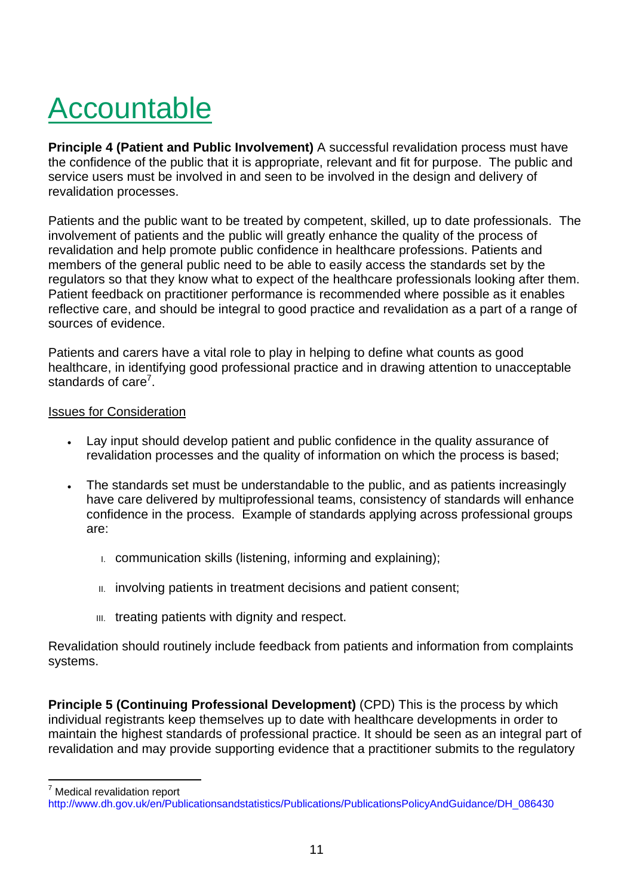# Accountable

**Principle 4 (Patient and Public Involvement)** A successful revalidation process must have the confidence of the public that it is appropriate, relevant and fit for purpose. The public and service users must be involved in and seen to be involved in the design and delivery of revalidation processes.

Patients and the public want to be treated by competent, skilled, up to date professionals. The involvement of patients and the public will greatly enhance the quality of the process of revalidation and help promote public confidence in healthcare professions. Patients and members of the general public need to be able to easily access the standards set by the regulators so that they know what to expect of the healthcare professionals looking after them. Patient feedback on practitioner performance is recommended where possible as it enables reflective care, and should be integral to good practice and revalidation as a part of a range of sources of evidence.

Patients and carers have a vital role to play in helping to define what counts as good healthcare, in identifying good professional practice and in drawing attention to unacceptable standards of care<sup>7</sup>.

#### Issues for Consideration

- Lay input should develop patient and public confidence in the quality assurance of revalidation processes and the quality of information on which the process is based;
- The standards set must be understandable to the public, and as patients increasingly have care delivered by multiprofessional teams, consistency of standards will enhance confidence in the process. Example of standards applying across professional groups are:
	- I. communication skills (listening, informing and explaining);
	- II. involving patients in treatment decisions and patient consent;
	- III. treating patients with dignity and respect.

Revalidation should routinely include feedback from patients and information from complaints systems.

**Principle 5 (Continuing Professional Development)** (CPD) This is the process by which individual registrants keep themselves up to date with healthcare developments in order to maintain the highest standards of professional practice. It should be seen as an integral part of revalidation and may provide supporting evidence that a practitioner submits to the regulatory

7 Medical revalidation report

http://www.dh.gov.uk/en/Publicationsandstatistics/Publications/PublicationsPolicyAndGuidance/DH\_086430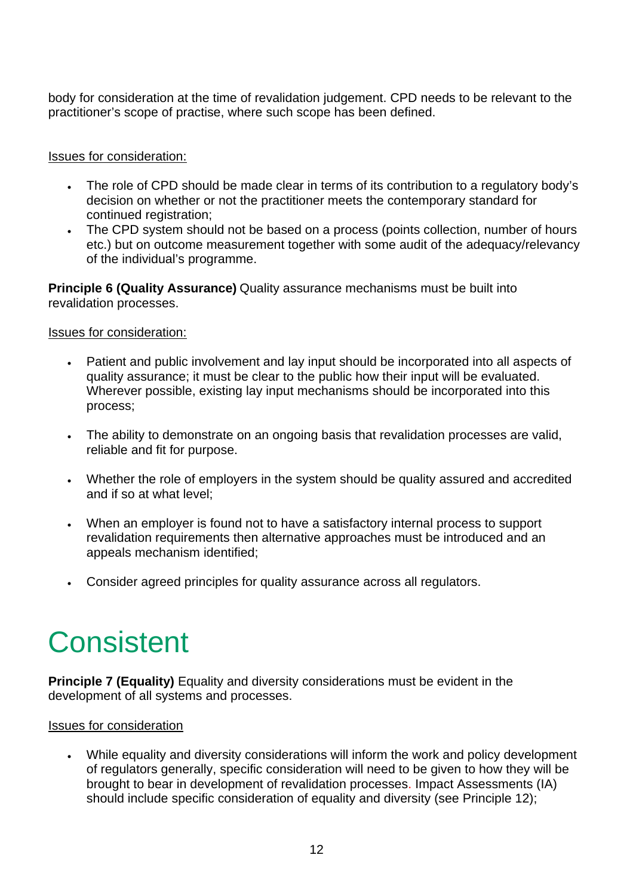body for consideration at the time of revalidation judgement. CPD needs to be relevant to the practitioner's scope of practise, where such scope has been defined.

### Issues for consideration:

- The role of CPD should be made clear in terms of its contribution to a regulatory body's decision on whether or not the practitioner meets the contemporary standard for continued registration;
- The CPD system should not be based on a process (points collection, number of hours etc.) but on outcome measurement together with some audit of the adequacy/relevancy of the individual's programme.

**Principle 6 (Quality Assurance)** Quality assurance mechanisms must be built into revalidation processes.

### Issues for consideration:

- Patient and public involvement and lay input should be incorporated into all aspects of quality assurance; it must be clear to the public how their input will be evaluated. Wherever possible, existing lay input mechanisms should be incorporated into this process;
- The ability to demonstrate on an ongoing basis that revalidation processes are valid, reliable and fit for purpose.
- Whether the role of employers in the system should be quality assured and accredited and if so at what level;
- When an employer is found not to have a satisfactory internal process to support revalidation requirements then alternative approaches must be introduced and an appeals mechanism identified;
- Consider agreed principles for quality assurance across all regulators.

## **Consistent**

**Principle 7 (Equality)** Equality and diversity considerations must be evident in the development of all systems and processes.

### Issues for consideration

• While equality and diversity considerations will inform the work and policy development of regulators generally, specific consideration will need to be given to how they will be brought to bear in development of revalidation processes. Impact Assessments (IA) should include specific consideration of equality and diversity (see Principle 12);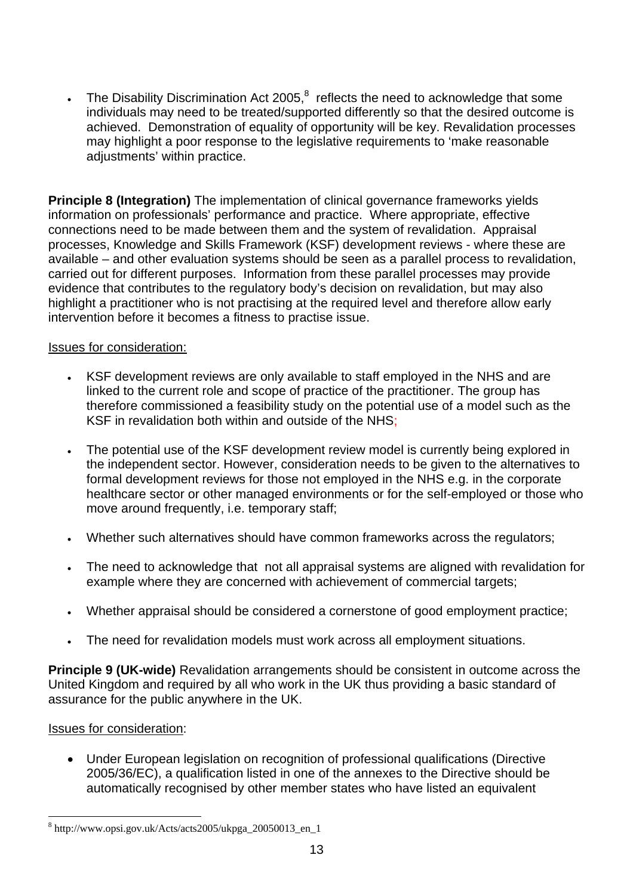• The Disability Discrimination Act 2005, $^8$  reflects the need to acknowledge that some individuals may need to be treated/supported differently so that the desired outcome is achieved. Demonstration of equality of opportunity will be key. Revalidation processes may highlight a poor response to the legislative requirements to 'make reasonable adjustments' within practice.

**Principle 8 (Integration)** The implementation of clinical governance frameworks yields information on professionals' performance and practice. Where appropriate, effective connections need to be made between them and the system of revalidation. Appraisal processes, Knowledge and Skills Framework (KSF) development reviews - where these are available – and other evaluation systems should be seen as a parallel process to revalidation, carried out for different purposes. Information from these parallel processes may provide evidence that contributes to the regulatory body's decision on revalidation, but may also highlight a practitioner who is not practising at the required level and therefore allow early intervention before it becomes a fitness to practise issue.

### Issues for consideration:

- KSF development reviews are only available to staff employed in the NHS and are linked to the current role and scope of practice of the practitioner. The group has therefore commissioned a feasibility study on the potential use of a model such as the KSF in revalidation both within and outside of the NHS;
- The potential use of the KSF development review model is currently being explored in the independent sector. However, consideration needs to be given to the alternatives to formal development reviews for those not employed in the NHS e.g. in the corporate healthcare sector or other managed environments or for the self-employed or those who move around frequently, i.e. temporary staff;
- Whether such alternatives should have common frameworks across the regulators;
- The need to acknowledge that not all appraisal systems are aligned with revalidation for example where they are concerned with achievement of commercial targets;
- Whether appraisal should be considered a cornerstone of good employment practice;
- The need for revalidation models must work across all employment situations.

**Principle 9 (UK-wide)** Revalidation arrangements should be consistent in outcome across the United Kingdom and required by all who work in the UK thus providing a basic standard of assurance for the public anywhere in the UK.

### Issues for consideration:

• Under European legislation on recognition of professional qualifications (Directive 2005/36/EC), a qualification listed in one of the annexes to the Directive should be automatically recognised by other member states who have listed an equivalent

 $\frac{1}{8}$ http://www.opsi.gov.uk/Acts/acts2005/ukpga\_20050013\_en\_1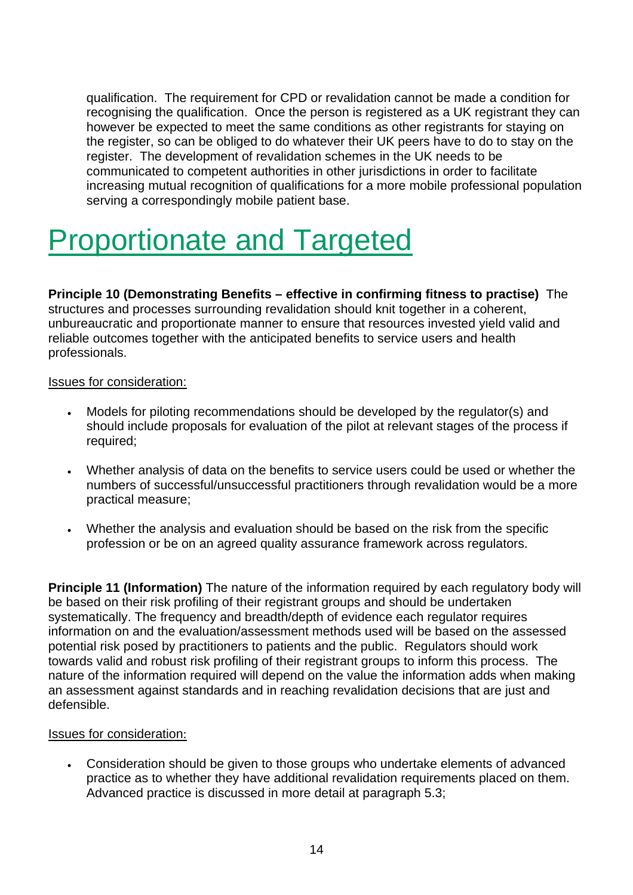qualification. The requirement for CPD or revalidation cannot be made a condition for recognising the qualification. Once the person is registered as a UK registrant they can however be expected to meet the same conditions as other registrants for staying on the register, so can be obliged to do whatever their UK peers have to do to stay on the register. The development of revalidation schemes in the UK needs to be communicated to competent authorities in other jurisdictions in order to facilitate increasing mutual recognition of qualifications for a more mobile professional population serving a correspondingly mobile patient base.

## Proportionate and Targeted

**Principle 10 (Demonstrating Benefits – effective in confirming fitness to practise)** The structures and processes surrounding revalidation should knit together in a coherent, unbureaucratic and proportionate manner to ensure that resources invested yield valid and reliable outcomes together with the anticipated benefits to service users and health professionals.

### Issues for consideration:

- Models for piloting recommendations should be developed by the regulator(s) and should include proposals for evaluation of the pilot at relevant stages of the process if required;
- Whether analysis of data on the benefits to service users could be used or whether the numbers of successful/unsuccessful practitioners through revalidation would be a more practical measure;
- Whether the analysis and evaluation should be based on the risk from the specific profession or be on an agreed quality assurance framework across regulators.

**Principle 11 (Information)** The nature of the information required by each requiatory body will be based on their risk profiling of their registrant groups and should be undertaken systematically. The frequency and breadth/depth of evidence each regulator requires information on and the evaluation/assessment methods used will be based on the assessed potential risk posed by practitioners to patients and the public. Regulators should work towards valid and robust risk profiling of their registrant groups to inform this process. The nature of the information required will depend on the value the information adds when making an assessment against standards and in reaching revalidation decisions that are just and defensible.

### Issues for consideration:

• Consideration should be given to those groups who undertake elements of advanced practice as to whether they have additional revalidation requirements placed on them. Advanced practice is discussed in more detail at paragraph 5.3;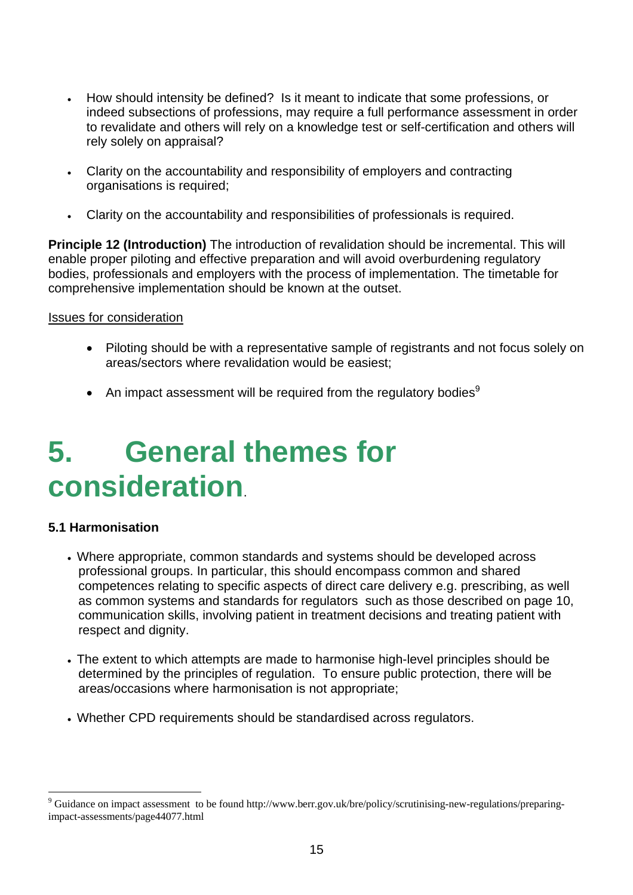- How should intensity be defined? Is it meant to indicate that some professions, or indeed subsections of professions, may require a full performance assessment in order to revalidate and others will rely on a knowledge test or self-certification and others will rely solely on appraisal?
- Clarity on the accountability and responsibility of employers and contracting organisations is required;
- Clarity on the accountability and responsibilities of professionals is required.

**Principle 12 (Introduction)** The introduction of revalidation should be incremental. This will enable proper piloting and effective preparation and will avoid overburdening regulatory bodies, professionals and employers with the process of implementation. The timetable for comprehensive implementation should be known at the outset.

### Issues for consideration

- Piloting should be with a representative sample of registrants and not focus solely on areas/sectors where revalidation would be easiest;
- An impact assessment will be required from the regulatory bodies $9$

## **5. General themes for consideration**.

### **5.1 Harmonisation**

- Where appropriate, common standards and systems should be developed across professional groups. In particular, this should encompass common and shared competences relating to specific aspects of direct care delivery e.g. prescribing, as well as common systems and standards for regulators such as those described on page 10, communication skills, involving patient in treatment decisions and treating patient with respect and dignity.
- The extent to which attempts are made to harmonise high-level principles should be determined by the principles of regulation. To ensure public protection, there will be areas/occasions where harmonisation is not appropriate;
- Whether CPD requirements should be standardised across requiators.

<sup>–&</sup>lt;br>9 <sup>9</sup> Guidance on impact assessment to be found http://www.berr.gov.uk/bre/policy/scrutinising-new-regulations/preparingimpact-assessments/page44077.html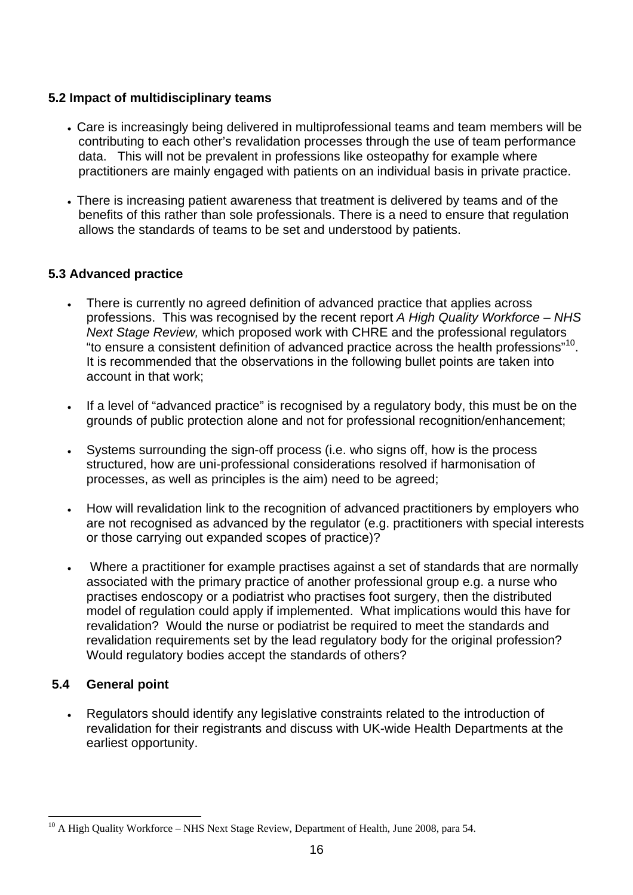### **5.2 Impact of multidisciplinary teams**

- Care is increasingly being delivered in multiprofessional teams and team members will be contributing to each other's revalidation processes through the use of team performance data. This will not be prevalent in professions like osteopathy for example where practitioners are mainly engaged with patients on an individual basis in private practice.
- There is increasing patient awareness that treatment is delivered by teams and of the benefits of this rather than sole professionals. There is a need to ensure that regulation allows the standards of teams to be set and understood by patients.

## **5.3 Advanced practice**

- There is currently no agreed definition of advanced practice that applies across professions. This was recognised by the recent report *A High Quality Workforce – NHS Next Stage Review,* which proposed work with CHRE and the professional regulators "to ensure a consistent definition of advanced practice across the health professions"10. It is recommended that the observations in the following bullet points are taken into account in that work;
- If a level of "advanced practice" is recognised by a regulatory body, this must be on the grounds of public protection alone and not for professional recognition/enhancement;
- Systems surrounding the sign-off process (i.e. who signs off, how is the process structured, how are uni-professional considerations resolved if harmonisation of processes, as well as principles is the aim) need to be agreed;
- How will revalidation link to the recognition of advanced practitioners by employers who are not recognised as advanced by the regulator (e.g. practitioners with special interests or those carrying out expanded scopes of practice)?
- Where a practitioner for example practises against a set of standards that are normally associated with the primary practice of another professional group e.g. a nurse who practises endoscopy or a podiatrist who practises foot surgery, then the distributed model of regulation could apply if implemented. What implications would this have for revalidation? Would the nurse or podiatrist be required to meet the standards and revalidation requirements set by the lead regulatory body for the original profession? Would regulatory bodies accept the standards of others?

## **5.4 General point**

• Regulators should identify any legislative constraints related to the introduction of revalidation for their registrants and discuss with UK-wide Health Departments at the earliest opportunity.

 $10$  A High Quality Workforce – NHS Next Stage Review, Department of Health, June 2008, para 54.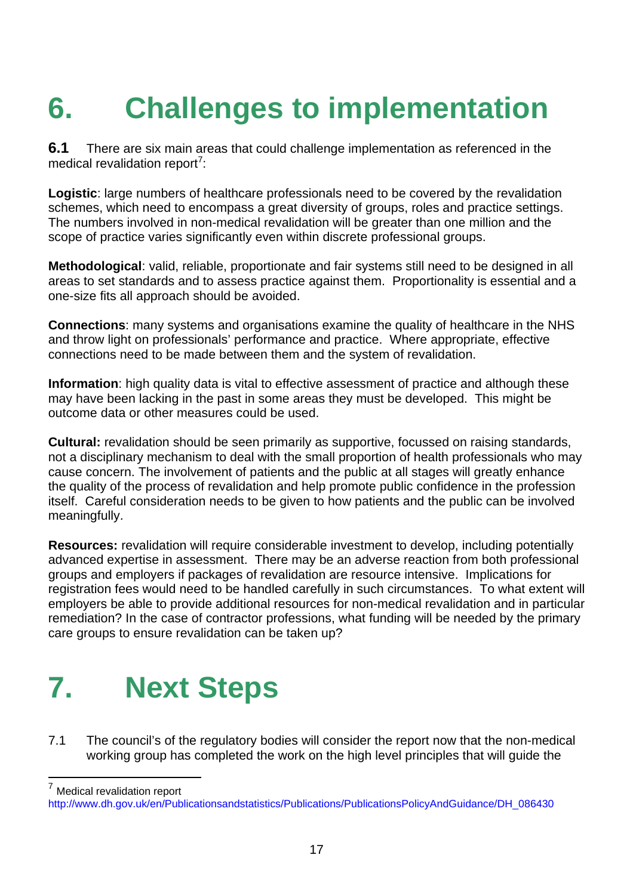# **6. Challenges to implementation**

**6.1** There are six main areas that could challenge implementation as referenced in the medical revalidation report<sup>7</sup>:

**Logistic**: large numbers of healthcare professionals need to be covered by the revalidation schemes, which need to encompass a great diversity of groups, roles and practice settings. The numbers involved in non-medical revalidation will be greater than one million and the scope of practice varies significantly even within discrete professional groups.

**Methodological**: valid, reliable, proportionate and fair systems still need to be designed in all areas to set standards and to assess practice against them. Proportionality is essential and a one-size fits all approach should be avoided.

**Connections**: many systems and organisations examine the quality of healthcare in the NHS and throw light on professionals' performance and practice. Where appropriate, effective connections need to be made between them and the system of revalidation.

**Information**: high quality data is vital to effective assessment of practice and although these may have been lacking in the past in some areas they must be developed. This might be outcome data or other measures could be used.

**Cultural:** revalidation should be seen primarily as supportive, focussed on raising standards, not a disciplinary mechanism to deal with the small proportion of health professionals who may cause concern. The involvement of patients and the public at all stages will greatly enhance the quality of the process of revalidation and help promote public confidence in the profession itself. Careful consideration needs to be given to how patients and the public can be involved meaningfully.

**Resources:** revalidation will require considerable investment to develop, including potentially advanced expertise in assessment. There may be an adverse reaction from both professional groups and employers if packages of revalidation are resource intensive. Implications for registration fees would need to be handled carefully in such circumstances. To what extent will employers be able to provide additional resources for non-medical revalidation and in particular remediation? In the case of contractor professions, what funding will be needed by the primary care groups to ensure revalidation can be taken up?

## **7. Next Steps**

7.1 The council's of the regulatory bodies will consider the report now that the non-medical working group has completed the work on the high level principles that will guide the

7 Medical revalidation report

http://www.dh.gov.uk/en/Publicationsandstatistics/Publications/PublicationsPolicyAndGuidance/DH\_086430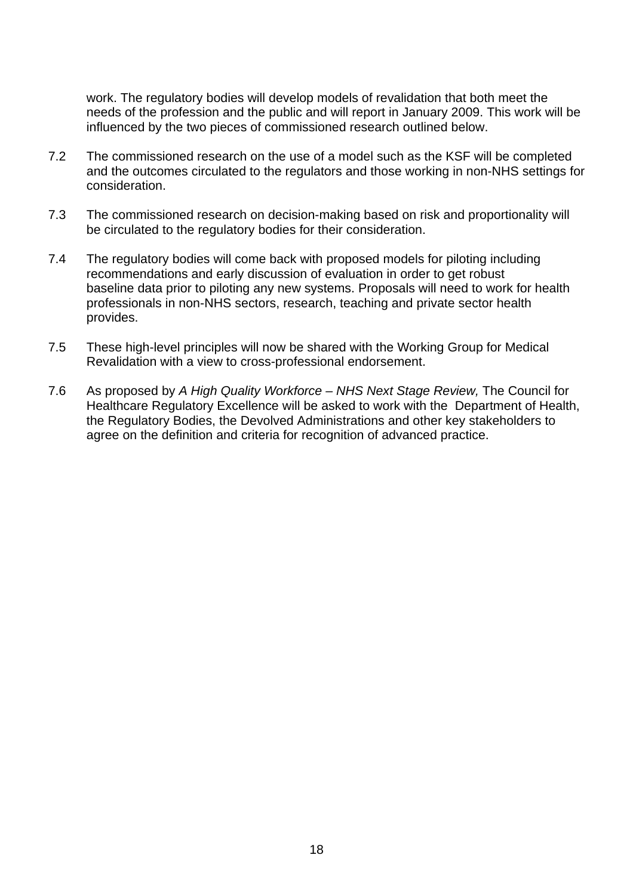work. The regulatory bodies will develop models of revalidation that both meet the needs of the profession and the public and will report in January 2009. This work will be influenced by the two pieces of commissioned research outlined below.

- 7.2 The commissioned research on the use of a model such as the KSF will be completed and the outcomes circulated to the regulators and those working in non-NHS settings for consideration.
- 7.3 The commissioned research on decision-making based on risk and proportionality will be circulated to the regulatory bodies for their consideration.
- 7.4 The regulatory bodies will come back with proposed models for piloting including recommendations and early discussion of evaluation in order to get robust baseline data prior to piloting any new systems. Proposals will need to work for health professionals in non-NHS sectors, research, teaching and private sector health provides.
- 7.5 These high-level principles will now be shared with the Working Group for Medical Revalidation with a view to cross-professional endorsement.
- 7.6 As proposed by *A High Quality Workforce NHS Next Stage Review,* The Council for Healthcare Regulatory Excellence will be asked to work with the Department of Health, the Regulatory Bodies, the Devolved Administrations and other key stakeholders to agree on the definition and criteria for recognition of advanced practice.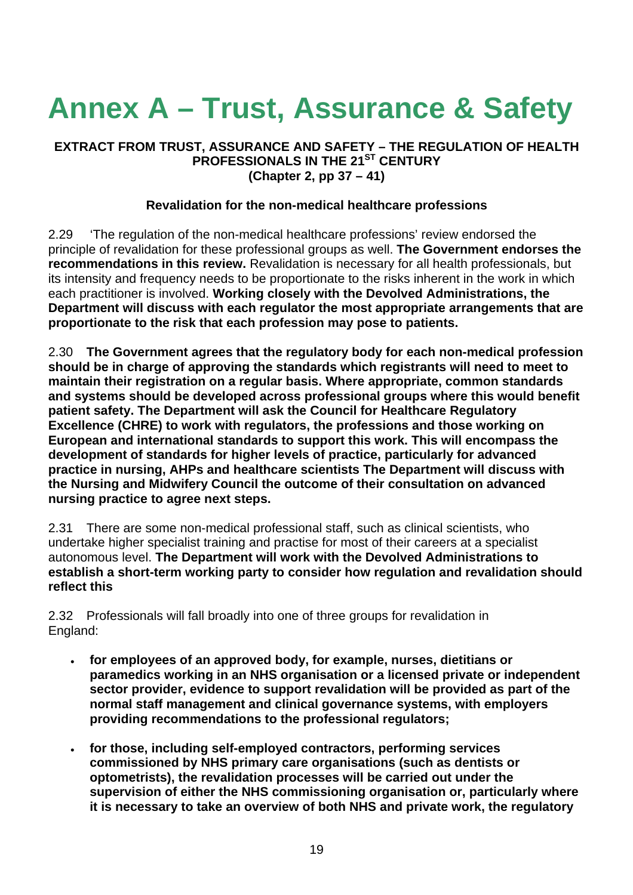# **Annex A – Trust, Assurance & Safety**

#### **EXTRACT FROM TRUST, ASSURANCE AND SAFETY – THE REGULATION OF HEALTH PROFESSIONALS IN THE 21<sup>ST</sup> CENTURY (Chapter 2, pp 37 – 41)**

### **Revalidation for the non-medical healthcare professions**

2.29 'The regulation of the non-medical healthcare professions' review endorsed the principle of revalidation for these professional groups as well. **The Government endorses the recommendations in this review.** Revalidation is necessary for all health professionals, but its intensity and frequency needs to be proportionate to the risks inherent in the work in which each practitioner is involved. **Working closely with the Devolved Administrations, the Department will discuss with each regulator the most appropriate arrangements that are proportionate to the risk that each profession may pose to patients.** 

2.30 **The Government agrees that the regulatory body for each non-medical profession should be in charge of approving the standards which registrants will need to meet to maintain their registration on a regular basis. Where appropriate, common standards and systems should be developed across professional groups where this would benefit patient safety. The Department will ask the Council for Healthcare Regulatory Excellence (CHRE) to work with regulators, the professions and those working on European and international standards to support this work. This will encompass the development of standards for higher levels of practice, particularly for advanced practice in nursing, AHPs and healthcare scientists The Department will discuss with the Nursing and Midwifery Council the outcome of their consultation on advanced nursing practice to agree next steps.** 

2.31 There are some non-medical professional staff, such as clinical scientists, who undertake higher specialist training and practise for most of their careers at a specialist autonomous level. **The Department will work with the Devolved Administrations to establish a short-term working party to consider how regulation and revalidation should reflect this**

2.32 Professionals will fall broadly into one of three groups for revalidation in England:

- **for employees of an approved body, for example, nurses, dietitians or paramedics working in an NHS organisation or a licensed private or independent sector provider, evidence to support revalidation will be provided as part of the normal staff management and clinical governance systems, with employers providing recommendations to the professional regulators;**
- **for those, including self-employed contractors, performing services commissioned by NHS primary care organisations (such as dentists or optometrists), the revalidation processes will be carried out under the supervision of either the NHS commissioning organisation or, particularly where it is necessary to take an overview of both NHS and private work, the regulatory**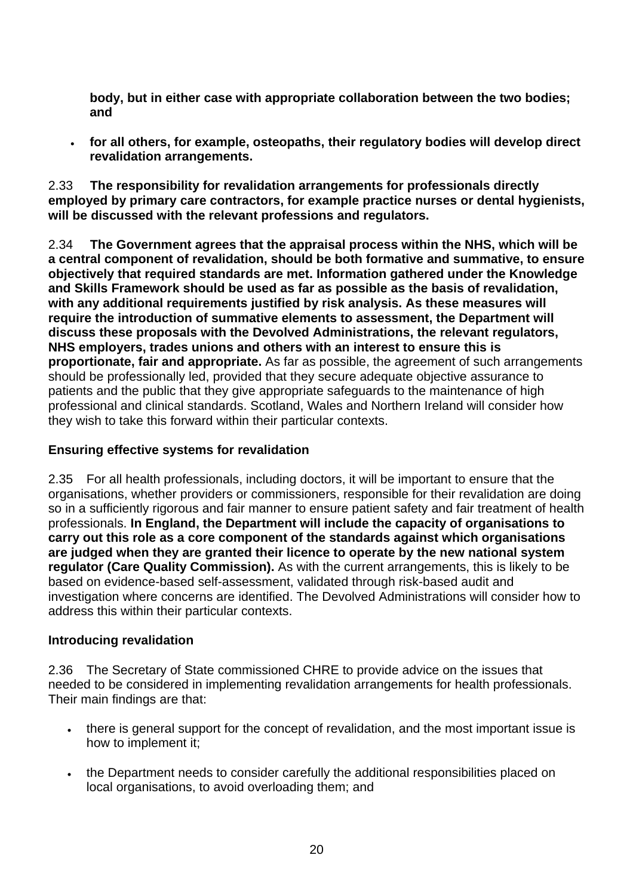**body, but in either case with appropriate collaboration between the two bodies; and** 

• **for all others, for example, osteopaths, their regulatory bodies will develop direct revalidation arrangements.** 

2.33 **The responsibility for revalidation arrangements for professionals directly employed by primary care contractors, for example practice nurses or dental hygienists, will be discussed with the relevant professions and regulators.** 

2.34 **The Government agrees that the appraisal process within the NHS, which will be a central component of revalidation, should be both formative and summative, to ensure objectively that required standards are met. Information gathered under the Knowledge and Skills Framework should be used as far as possible as the basis of revalidation, with any additional requirements justified by risk analysis. As these measures will require the introduction of summative elements to assessment, the Department will discuss these proposals with the Devolved Administrations, the relevant regulators, NHS employers, trades unions and others with an interest to ensure this is proportionate, fair and appropriate.** As far as possible, the agreement of such arrangements should be professionally led, provided that they secure adequate objective assurance to patients and the public that they give appropriate safeguards to the maintenance of high professional and clinical standards. Scotland, Wales and Northern Ireland will consider how they wish to take this forward within their particular contexts.

### **Ensuring effective systems for revalidation**

2.35 For all health professionals, including doctors, it will be important to ensure that the organisations, whether providers or commissioners, responsible for their revalidation are doing so in a sufficiently rigorous and fair manner to ensure patient safety and fair treatment of health professionals. **In England, the Department will include the capacity of organisations to carry out this role as a core component of the standards against which organisations are judged when they are granted their licence to operate by the new national system regulator (Care Quality Commission).** As with the current arrangements, this is likely to be based on evidence-based self-assessment, validated through risk-based audit and investigation where concerns are identified. The Devolved Administrations will consider how to address this within their particular contexts.

### **Introducing revalidation**

2.36 The Secretary of State commissioned CHRE to provide advice on the issues that needed to be considered in implementing revalidation arrangements for health professionals. Their main findings are that:

- there is general support for the concept of revalidation, and the most important issue is how to implement it;
- the Department needs to consider carefully the additional responsibilities placed on local organisations, to avoid overloading them; and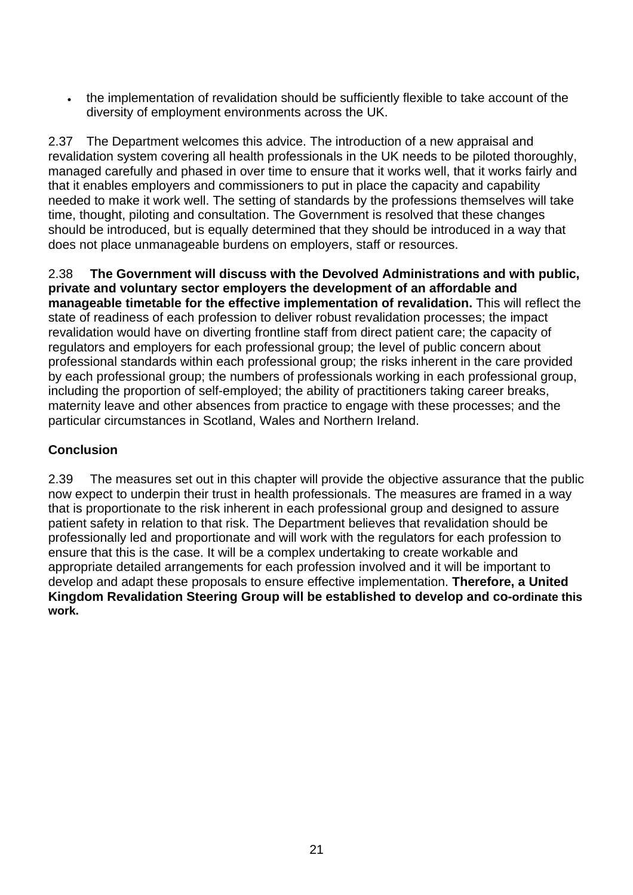• the implementation of revalidation should be sufficiently flexible to take account of the diversity of employment environments across the UK.

2.37 The Department welcomes this advice. The introduction of a new appraisal and revalidation system covering all health professionals in the UK needs to be piloted thoroughly, managed carefully and phased in over time to ensure that it works well, that it works fairly and that it enables employers and commissioners to put in place the capacity and capability needed to make it work well. The setting of standards by the professions themselves will take time, thought, piloting and consultation. The Government is resolved that these changes should be introduced, but is equally determined that they should be introduced in a way that does not place unmanageable burdens on employers, staff or resources.

2.38 **The Government will discuss with the Devolved Administrations and with public, private and voluntary sector employers the development of an affordable and manageable timetable for the effective implementation of revalidation.** This will reflect the state of readiness of each profession to deliver robust revalidation processes; the impact revalidation would have on diverting frontline staff from direct patient care; the capacity of regulators and employers for each professional group; the level of public concern about professional standards within each professional group; the risks inherent in the care provided by each professional group; the numbers of professionals working in each professional group, including the proportion of self-employed; the ability of practitioners taking career breaks, maternity leave and other absences from practice to engage with these processes; and the particular circumstances in Scotland, Wales and Northern Ireland.

## **Conclusion**

2.39 The measures set out in this chapter will provide the objective assurance that the public now expect to underpin their trust in health professionals. The measures are framed in a way that is proportionate to the risk inherent in each professional group and designed to assure patient safety in relation to that risk. The Department believes that revalidation should be professionally led and proportionate and will work with the regulators for each profession to ensure that this is the case. It will be a complex undertaking to create workable and appropriate detailed arrangements for each profession involved and it will be important to develop and adapt these proposals to ensure effective implementation. **Therefore, a United Kingdom Revalidation Steering Group will be established to develop and co-ordinate this work.**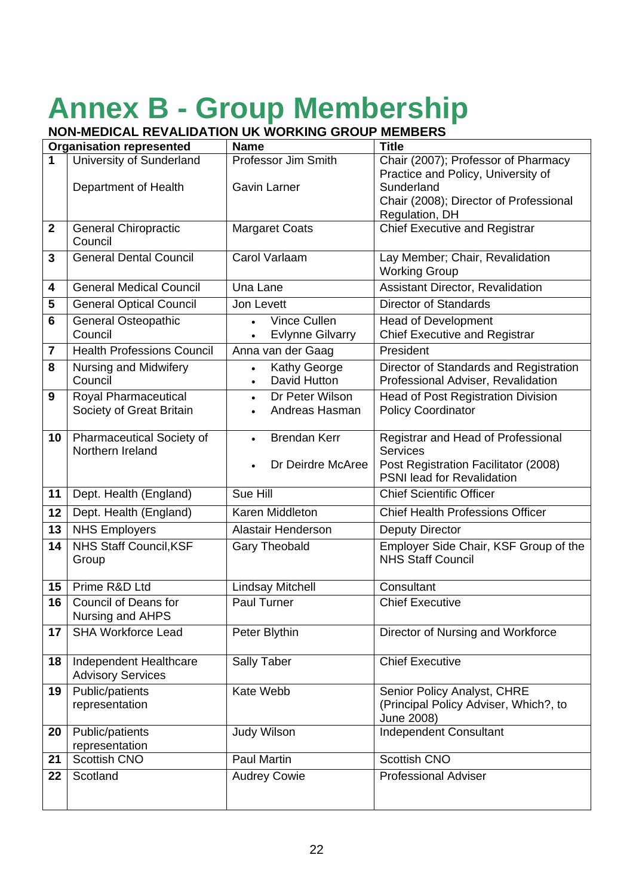# **Annex B - Group Membership**

### **NON-MEDICAL REVALIDATION UK WORKING GROUP MEMBERS**

| <b>Organisation represented</b> |                                   | <b>Name</b>                          | <b>Title</b>                              |
|---------------------------------|-----------------------------------|--------------------------------------|-------------------------------------------|
| 1                               | University of Sunderland          | Professor Jim Smith                  | Chair (2007); Professor of Pharmacy       |
|                                 |                                   |                                      | Practice and Policy, University of        |
|                                 | Department of Health              | <b>Gavin Larner</b>                  | Sunderland                                |
|                                 |                                   |                                      | Chair (2008); Director of Professional    |
|                                 |                                   |                                      | Regulation, DH                            |
| $\mathbf 2$                     | <b>General Chiropractic</b>       | <b>Margaret Coats</b>                | <b>Chief Executive and Registrar</b>      |
|                                 | Council                           |                                      |                                           |
| 3                               | <b>General Dental Council</b>     | Carol Varlaam                        | Lay Member; Chair, Revalidation           |
|                                 |                                   |                                      | <b>Working Group</b>                      |
| 4                               | <b>General Medical Council</b>    | Una Lane                             | Assistant Director, Revalidation          |
| 5                               | <b>General Optical Council</b>    | Jon Levett                           | <b>Director of Standards</b>              |
| 6                               | <b>General Osteopathic</b>        | Vince Cullen                         | <b>Head of Development</b>                |
|                                 | Council                           | <b>Evlynne Gilvarry</b><br>$\bullet$ | <b>Chief Executive and Registrar</b>      |
| 7                               | <b>Health Professions Council</b> | Anna van der Gaag                    | President                                 |
| 8                               | Nursing and Midwifery             | <b>Kathy George</b><br>$\bullet$     | Director of Standards and Registration    |
|                                 | Council                           | David Hutton<br>$\bullet$            | Professional Adviser, Revalidation        |
| 9                               | Royal Pharmaceutical              | Dr Peter Wilson<br>$\bullet$         | <b>Head of Post Registration Division</b> |
|                                 | Society of Great Britain          | Andreas Hasman<br>$\bullet$          | <b>Policy Coordinator</b>                 |
|                                 |                                   |                                      |                                           |
| 10                              | Pharmaceutical Society of         | <b>Brendan Kerr</b><br>$\bullet$     | Registrar and Head of Professional        |
|                                 | Northern Ireland                  |                                      | <b>Services</b>                           |
|                                 |                                   | Dr Deirdre McAree                    | Post Registration Facilitator (2008)      |
|                                 |                                   |                                      | PSNI lead for Revalidation                |
| 11                              | Dept. Health (England)            | Sue Hill                             | <b>Chief Scientific Officer</b>           |
| 12                              | Dept. Health (England)            | Karen Middleton                      | <b>Chief Health Professions Officer</b>   |
| 13                              | <b>NHS Employers</b>              | Alastair Henderson                   | <b>Deputy Director</b>                    |
| 14                              | NHS Staff Council, KSF            | <b>Gary Theobald</b>                 | Employer Side Chair, KSF Group of the     |
|                                 | Group                             |                                      | <b>NHS Staff Council</b>                  |
|                                 |                                   |                                      |                                           |
| 15                              | Prime R&D Ltd                     | <b>Lindsay Mitchell</b>              | Consultant                                |
| 16                              | <b>Council of Deans for</b>       | Paul Turner                          | <b>Chief Executive</b>                    |
|                                 | Nursing and AHPS                  |                                      |                                           |
| 17                              | <b>SHA Workforce Lead</b>         | Peter Blythin                        | Director of Nursing and Workforce         |
| 18                              | Independent Healthcare            | Sally Taber                          | <b>Chief Executive</b>                    |
|                                 | <b>Advisory Services</b>          |                                      |                                           |
| 19                              | Public/patients<br>Kate Webb      |                                      | Senior Policy Analyst, CHRE               |
|                                 | representation                    |                                      | (Principal Policy Adviser, Which?, to     |
|                                 |                                   |                                      | June 2008)                                |
| 20                              | Public/patients                   | <b>Judy Wilson</b>                   | Independent Consultant                    |
|                                 | representation                    |                                      |                                           |
| 21                              | Scottish CNO                      | Paul Martin                          | Scottish CNO                              |
| 22                              | Scotland                          | <b>Audrey Cowie</b>                  | <b>Professional Adviser</b>               |
|                                 |                                   |                                      |                                           |
|                                 |                                   |                                      |                                           |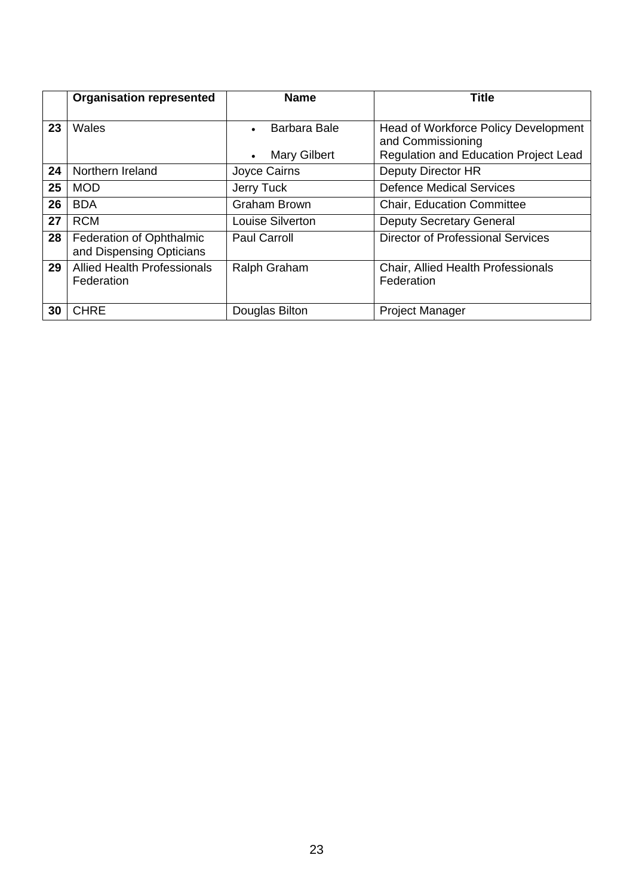|    | <b>Organisation represented</b>    | <b>Name</b>         | <b>Title</b>                                 |
|----|------------------------------------|---------------------|----------------------------------------------|
|    |                                    |                     |                                              |
| 23 | Wales                              | Barbara Bale        | Head of Workforce Policy Development         |
|    |                                    |                     | and Commissioning                            |
|    |                                    | <b>Mary Gilbert</b> | <b>Regulation and Education Project Lead</b> |
| 24 | Northern Ireland                   | Joyce Cairns        | Deputy Director HR                           |
| 25 | <b>MOD</b>                         | Jerry Tuck          | <b>Defence Medical Services</b>              |
| 26 | <b>BDA</b>                         | <b>Graham Brown</b> | <b>Chair, Education Committee</b>            |
| 27 | <b>RCM</b>                         | Louise Silverton    | <b>Deputy Secretary General</b>              |
| 28 | Federation of Ophthalmic           | <b>Paul Carroll</b> | <b>Director of Professional Services</b>     |
|    | and Dispensing Opticians           |                     |                                              |
| 29 | <b>Allied Health Professionals</b> | <b>Ralph Graham</b> | <b>Chair, Allied Health Professionals</b>    |
|    | Federation                         |                     | Federation                                   |
|    |                                    |                     |                                              |
| 30 | <b>CHRE</b>                        | Douglas Bilton      | <b>Project Manager</b>                       |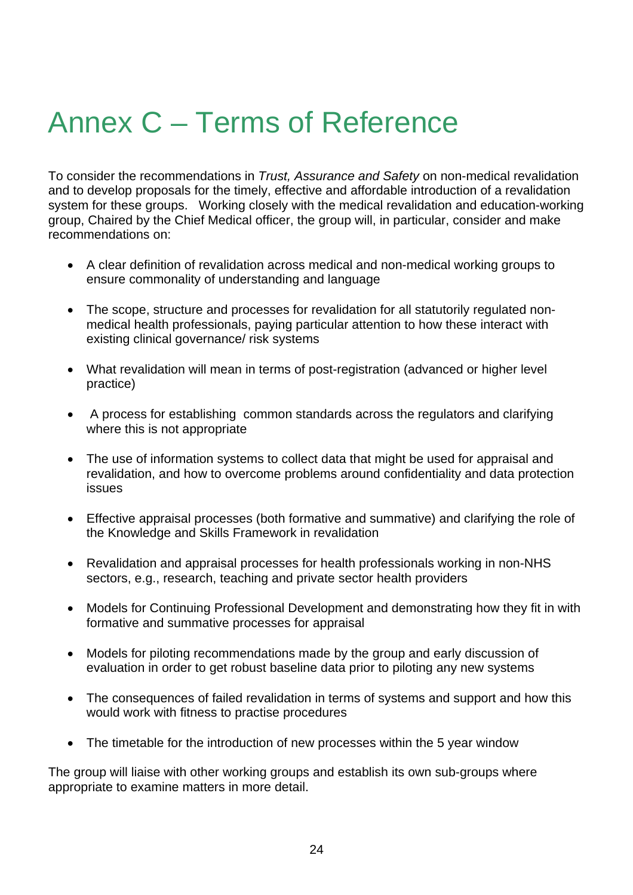## Annex C – Terms of Reference

To consider the recommendations in *Trust, Assurance and Safety* on non-medical revalidation and to develop proposals for the timely, effective and affordable introduction of a revalidation system for these groups. Working closely with the medical revalidation and education-working group, Chaired by the Chief Medical officer, the group will, in particular, consider and make recommendations on:

- A clear definition of revalidation across medical and non-medical working groups to ensure commonality of understanding and language
- The scope, structure and processes for revalidation for all statutorily regulated nonmedical health professionals, paying particular attention to how these interact with existing clinical governance/ risk systems
- What revalidation will mean in terms of post-registration (advanced or higher level practice)
- A process for establishing common standards across the regulators and clarifying where this is not appropriate
- The use of information systems to collect data that might be used for appraisal and revalidation, and how to overcome problems around confidentiality and data protection issues
- Effective appraisal processes (both formative and summative) and clarifying the role of the Knowledge and Skills Framework in revalidation
- Revalidation and appraisal processes for health professionals working in non-NHS sectors, e.g., research, teaching and private sector health providers
- Models for Continuing Professional Development and demonstrating how they fit in with formative and summative processes for appraisal
- Models for piloting recommendations made by the group and early discussion of evaluation in order to get robust baseline data prior to piloting any new systems
- The consequences of failed revalidation in terms of systems and support and how this would work with fitness to practise procedures
- The timetable for the introduction of new processes within the 5 year window

The group will liaise with other working groups and establish its own sub-groups where appropriate to examine matters in more detail.